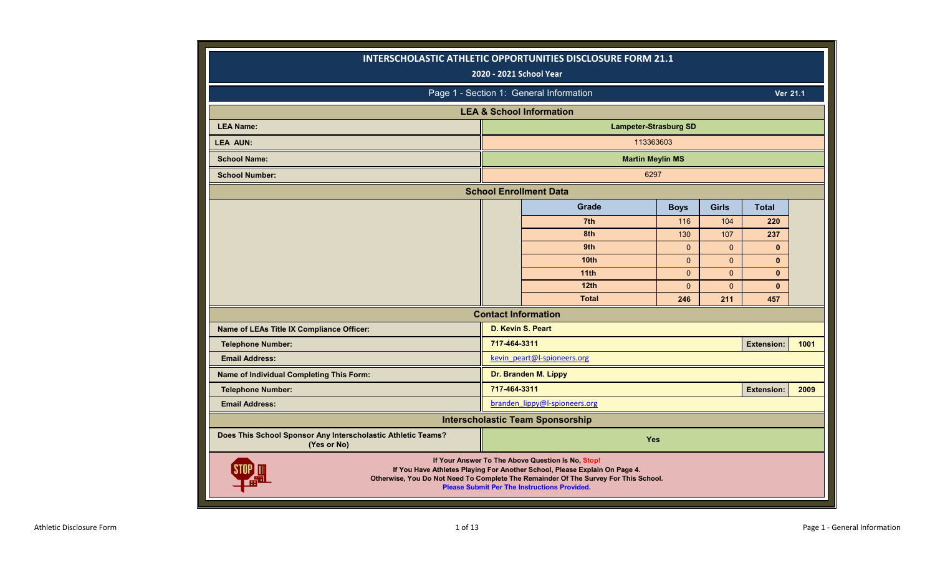|                                                                             | 2020 - 2021 School Year    | INTERSCHOLASTIC ATHLETIC OPPORTUNITIES DISCLOSURE FORM 21.1                                                                                                                                                                                                                   |              |              |                   |      |
|-----------------------------------------------------------------------------|----------------------------|-------------------------------------------------------------------------------------------------------------------------------------------------------------------------------------------------------------------------------------------------------------------------------|--------------|--------------|-------------------|------|
|                                                                             |                            | Page 1 - Section 1: General Information                                                                                                                                                                                                                                       |              |              | <b>Ver 21.1</b>   |      |
|                                                                             |                            | <b>LEA &amp; School Information</b>                                                                                                                                                                                                                                           |              |              |                   |      |
| <b>LEA Name:</b>                                                            |                            | <b>Lampeter-Strasburg SD</b>                                                                                                                                                                                                                                                  |              |              |                   |      |
| <b>LEA AUN:</b>                                                             |                            | 113363603                                                                                                                                                                                                                                                                     |              |              |                   |      |
| <b>School Name:</b>                                                         |                            | <b>Martin Meylin MS</b>                                                                                                                                                                                                                                                       |              |              |                   |      |
| <b>School Number:</b>                                                       |                            | 6297                                                                                                                                                                                                                                                                          |              |              |                   |      |
|                                                                             |                            | <b>School Enrollment Data</b>                                                                                                                                                                                                                                                 |              |              |                   |      |
|                                                                             |                            | Grade                                                                                                                                                                                                                                                                         | <b>Boys</b>  | <b>Girls</b> | <b>Total</b>      |      |
|                                                                             |                            | 7th                                                                                                                                                                                                                                                                           | 116          | 104          | 220               |      |
|                                                                             |                            | 8th                                                                                                                                                                                                                                                                           | 130          | 107          | 237               |      |
|                                                                             |                            | 9th                                                                                                                                                                                                                                                                           | $\mathbf{0}$ | $\Omega$     | $\bf{0}$          |      |
|                                                                             |                            | 10 <sub>th</sub>                                                                                                                                                                                                                                                              | $\mathbf{0}$ | $\mathbf{0}$ | $\mathbf{0}$      |      |
|                                                                             |                            | 11 <sub>th</sub>                                                                                                                                                                                                                                                              | $\Omega$     | $\mathbf{0}$ | $\bf{0}$          |      |
|                                                                             |                            | 12th                                                                                                                                                                                                                                                                          | $\Omega$     | $\mathbf{0}$ | $\mathbf{0}$      |      |
|                                                                             | <b>Contact Information</b> | <b>Total</b>                                                                                                                                                                                                                                                                  | 246          | 211          | 457               |      |
| Name of LEAs Title IX Compliance Officer:                                   | D. Kevin S. Peart          |                                                                                                                                                                                                                                                                               |              |              |                   |      |
| <b>Telephone Number:</b>                                                    | 717-464-3311               |                                                                                                                                                                                                                                                                               |              |              | <b>Extension:</b> | 1001 |
| <b>Email Address:</b>                                                       |                            | kevin peart@l-spioneers.org                                                                                                                                                                                                                                                   |              |              |                   |      |
| Name of Individual Completing This Form:                                    |                            | Dr. Branden M. Lippy                                                                                                                                                                                                                                                          |              |              |                   |      |
| <b>Telephone Number:</b>                                                    | 717-464-3311               |                                                                                                                                                                                                                                                                               |              |              | <b>Extension:</b> | 2009 |
| <b>Email Address:</b>                                                       |                            | branden lippy@l-spioneers.org                                                                                                                                                                                                                                                 |              |              |                   |      |
|                                                                             |                            | <b>Interscholastic Team Sponsorship</b>                                                                                                                                                                                                                                       |              |              |                   |      |
| Does This School Sponsor Any Interscholastic Athletic Teams?<br>(Yes or No) |                            | <b>Yes</b>                                                                                                                                                                                                                                                                    |              |              |                   |      |
|                                                                             |                            | If Your Answer To The Above Question Is No, Stop!<br>If You Have Athletes Playing For Another School, Please Explain On Page 4.<br>Otherwise, You Do Not Need To Complete The Remainder Of The Survey For This School.<br><b>Please Submit Per The Instructions Provided.</b> |              |              |                   |      |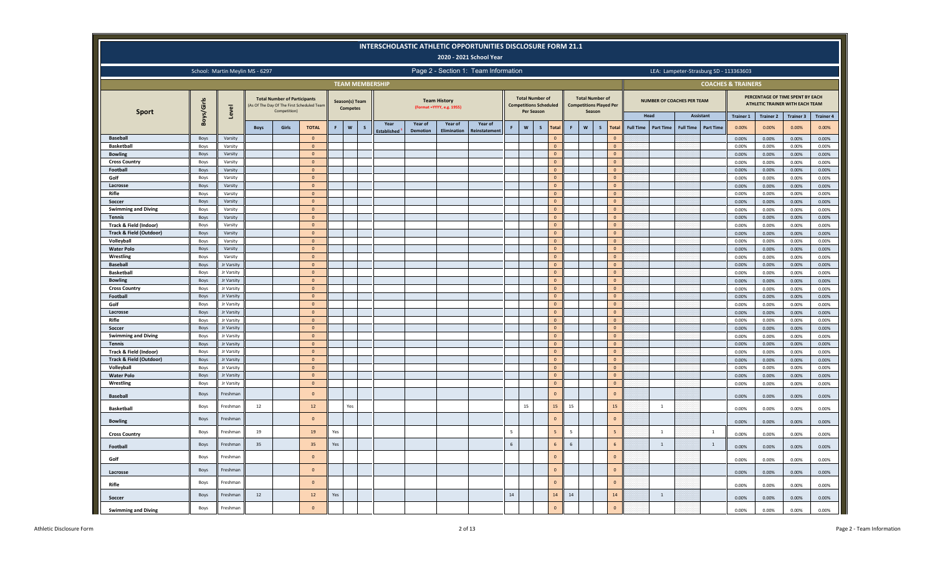|                                             |              |                          |                                 |                                                     |                                           |     |                                   |                        |                    |                 |                                                   | <b>INTERSCHOLASTIC ATHLETIC OPPORTUNITIES DISCLOSURE FORM 21.1</b><br>2020 - 2021 School Year |            |                                      |                                    |       |                                                                    |                               |                  |                                   |                  |                                        |                           |                           |                                                                     |                           |
|---------------------------------------------|--------------|--------------------------|---------------------------------|-----------------------------------------------------|-------------------------------------------|-----|-----------------------------------|------------------------|--------------------|-----------------|---------------------------------------------------|-----------------------------------------------------------------------------------------------|------------|--------------------------------------|------------------------------------|-------|--------------------------------------------------------------------|-------------------------------|------------------|-----------------------------------|------------------|----------------------------------------|---------------------------|---------------------------|---------------------------------------------------------------------|---------------------------|
|                                             |              |                          | School: Martin Meylin MS - 6297 |                                                     |                                           |     |                                   |                        |                    |                 |                                                   | Page 2 - Section 1: Team Information                                                          |            |                                      |                                    |       |                                                                    |                               |                  |                                   |                  | LEA: Lampeter-Strasburg SD - 113363603 |                           |                           |                                                                     |                           |
|                                             |              |                          |                                 |                                                     |                                           |     |                                   | <b>TEAM MEMBERSHIP</b> |                    |                 |                                                   |                                                                                               |            |                                      |                                    |       |                                                                    |                               |                  |                                   |                  | <b>COACHES &amp; TRAINERS</b>          |                           |                           |                                                                     |                           |
| <b>Sport</b>                                | Boys/Girls   | Level                    |                                 | <b>Total Number of Participants</b><br>Competition) | As Of The Day Of The First Scheduled Team |     | Season(s) Team<br><b>Competes</b> |                        |                    |                 | <b>Team History</b><br>(Format = YYYY, e.g. 1955) |                                                                                               |            | <b>Total Number of</b><br>Per Season | <b>Competitions Scheduled</b>      |       | <b>Total Number of</b><br><b>Competitions Played Per</b><br>Season |                               |                  | <b>NUMBER OF COACHES PER TEAM</b> |                  |                                        |                           |                           | PERCENTAGE OF TIME SPENT BY EACH<br>ATHLETIC TRAINER WITH EACH TEAM |                           |
|                                             |              |                          | <b>Boys</b>                     | Girls                                               | <b>TOTAL</b>                              | F.  | $\mathsf{w}$                      | <sub>S</sub>           | Year               | Year of         | Year of                                           | Year of                                                                                       |            | W                                    | $\mathsf{s}$<br>Total              | F     | W<br>$\mathbf{s}$                                                  | <b>Total</b>                  | <b>Full Time</b> | Head<br><b>Part Time</b>          | <b>Full Time</b> | Assistant<br><b>Part Time</b>          | <b>Trainer 1</b><br>0.00% | <b>Trainer 2</b><br>0.00% | <b>Trainer 3</b><br>0.00%                                           | <b>Trainer 4</b><br>0.00% |
| <b>Baseball</b>                             | Boys         | Varsity                  |                                 |                                                     | $\mathbf{0}$                              |     |                                   |                        | <b>Established</b> | <b>Demotion</b> | Elimination                                       | einstatemer                                                                                   |            |                                      | $\overline{0}$                     |       |                                                                    | $\Omega$                      |                  |                                   |                  |                                        | 0.00%                     | 0.00%                     | 0.00%                                                               | 0.00%                     |
| <b>Basketball</b>                           | Boys         | Varsity                  |                                 |                                                     | $\mathbf{0}$                              |     |                                   |                        |                    |                 |                                                   |                                                                                               |            |                                      | $\overline{0}$                     |       |                                                                    | $\Omega$                      |                  |                                   |                  |                                        | 0.00%                     | 0.00%                     | 0.00%                                                               | 0.00%                     |
| <b>Bowling</b>                              | Boys         | Varsity                  |                                 |                                                     | $\mathbf{0}$                              |     |                                   |                        |                    |                 |                                                   |                                                                                               |            |                                      | $\mathbf 0$                        |       |                                                                    | $\mathbf{0}$                  |                  |                                   |                  |                                        | 0.00%                     | 0.00%                     | 0.00%                                                               | 0.00%                     |
| <b>Cross Country</b>                        | Boys         | Varsity                  |                                 |                                                     | $\overline{0}$                            |     |                                   |                        |                    |                 |                                                   |                                                                                               |            |                                      | $\overline{0}$                     |       |                                                                    | $\overline{0}$                |                  |                                   |                  |                                        | 0.00%                     | 0.00%                     | 0.00%                                                               | 0.00%                     |
| Football                                    | Boys         | Varsity                  |                                 |                                                     | $\mathbf{0}$                              |     |                                   |                        |                    |                 |                                                   |                                                                                               |            |                                      | $\mathbf 0$                        |       |                                                                    | $\Omega$                      |                  |                                   |                  |                                        | 0.00%                     | 0.00%                     | 0.00%                                                               | 0.00%                     |
| Golf                                        | Boys         | Varsity                  |                                 |                                                     | $\circ$                                   |     |                                   |                        |                    |                 |                                                   |                                                                                               |            |                                      | $\overline{0}$                     |       |                                                                    | $\mathbf 0$                   |                  |                                   |                  |                                        | 0.00%                     | 0.00%                     | 0.00%                                                               | 0.00%                     |
| Lacrosse                                    | Boys         | Varsity                  |                                 |                                                     | $\overline{0}$                            |     |                                   |                        |                    |                 |                                                   |                                                                                               |            |                                      | $\circ$                            |       |                                                                    | $\mathbf 0$                   |                  |                                   |                  |                                        | 0.00%                     | 0.00%                     | 0.00%                                                               | $0.00\%$                  |
| Rifle                                       | Boys         | Varsity                  |                                 |                                                     | $\mathbf{0}$                              |     |                                   |                        |                    |                 |                                                   |                                                                                               |            |                                      | $\overline{0}$                     |       |                                                                    | $\mathbf 0$                   |                  |                                   |                  |                                        | 0.00%                     | 0.00%                     | 0.00%                                                               | 0.00%                     |
| Soccer                                      | Boys         | Varsity                  |                                 |                                                     | $\overline{0}$<br>$\mathbf{0}$            |     |                                   |                        |                    |                 |                                                   |                                                                                               |            |                                      | $\overline{\mathbf{0}}$<br>$\circ$ |       |                                                                    | $\overline{0}$<br>$\mathbf 0$ |                  |                                   |                  |                                        | 0.00%                     | 0.00%                     | 0.00%                                                               | 0.00%                     |
| <b>Swimming and Diving</b><br><b>Tennis</b> | Boys<br>Boys | Varsity<br>Varsity       |                                 |                                                     | $\overline{0}$                            |     |                                   |                        |                    |                 |                                                   |                                                                                               |            |                                      | $\overline{0}$                     |       |                                                                    | $\mathbf 0$                   |                  |                                   |                  |                                        | 0.00%                     | 0.00%<br>0.00%            | 0.00%                                                               | 0.00%                     |
| Track & Field (Indoor)                      | Boys         | Varsity                  |                                 |                                                     | $\mathbf{0}$                              |     |                                   |                        |                    |                 |                                                   |                                                                                               |            |                                      | $\overline{0}$                     |       |                                                                    | $\mathbf 0$                   |                  |                                   |                  |                                        | 0.00%<br>0.00%            | 0.00%                     | 0.00%<br>0.00%                                                      | 0.00%<br>0.00%            |
| Track & Field (Outdoor)                     | Boys         | Varsity                  |                                 |                                                     | $\overline{0}$                            |     |                                   |                        |                    |                 |                                                   |                                                                                               |            |                                      | $\overline{0}$                     |       |                                                                    | $\overline{0}$                |                  |                                   |                  |                                        | 0.00%                     | 0.00%                     | 0.00%                                                               | 0.00%                     |
| Volleyball                                  | Boys         | Varsity                  |                                 |                                                     | $\overline{0}$                            |     |                                   |                        |                    |                 |                                                   |                                                                                               |            |                                      | $\overline{0}$                     |       |                                                                    | $\mathbf 0$                   |                  |                                   |                  |                                        | 0.00%                     | 0.00%                     | 0.00%                                                               | 0.00%                     |
| <b>Water Polo</b>                           | Boys         | Varsity                  |                                 |                                                     | $\mathbf{0}$                              |     |                                   |                        |                    |                 |                                                   |                                                                                               |            |                                      | $\overline{0}$                     |       |                                                                    | $\overline{0}$                |                  |                                   |                  |                                        | 0.00%                     | 0.00%                     | 0.00%                                                               | 0.00%                     |
| Wrestling                                   | Boys         | Varsity                  |                                 |                                                     | $\mathbf{0}$                              |     |                                   |                        |                    |                 |                                                   |                                                                                               |            |                                      | $\overline{0}$                     |       |                                                                    | $\mathbf 0$                   |                  |                                   |                  |                                        | 0.00%                     | 0.00%                     | 0.00%                                                               | 0.00%                     |
| <b>Baseball</b>                             | Boys         | Jr Varsity               |                                 |                                                     | $\mathbf{0}$                              |     |                                   |                        |                    |                 |                                                   |                                                                                               |            |                                      | $\overline{0}$                     |       |                                                                    | $\overline{0}$                |                  |                                   |                  |                                        | 0.00%                     | 0.00%                     | 0.00%                                                               | 0.00%                     |
| <b>Basketball</b>                           | Boys         | Jr Varsity               |                                 |                                                     | $\overline{0}$                            |     |                                   |                        |                    |                 |                                                   |                                                                                               |            |                                      | $\overline{0}$                     |       |                                                                    | $\mathbf 0$                   |                  |                                   |                  |                                        | 0.00%                     | 0.00%                     | 0.00%                                                               | 0.00%                     |
| <b>Bowling</b>                              | Boys         | Jr Varsity               |                                 |                                                     | $\overline{0}$                            |     |                                   |                        |                    |                 |                                                   |                                                                                               |            |                                      | $\overline{0}$                     |       |                                                                    | $\circ$                       |                  |                                   |                  |                                        | 0.00%                     | 0.00%                     | 0.00%                                                               | 0.00%                     |
| <b>Cross Country</b>                        | Boys         | Jr Varsity               |                                 |                                                     | $\overline{0}$                            |     |                                   |                        |                    |                 |                                                   |                                                                                               |            |                                      | $\overline{0}$                     |       |                                                                    | $\mathbf 0$                   |                  |                                   |                  |                                        | 0.00%                     | 0.00%                     | 0.00%                                                               | 0.00%                     |
| Football                                    | Boys         | Jr Varsity               |                                 |                                                     | $\mathbf{0}$                              |     |                                   |                        |                    |                 |                                                   |                                                                                               |            |                                      | $\mathbf 0$                        |       |                                                                    | $\mathbf 0$                   |                  |                                   |                  |                                        | 0.00%                     | 0.00%                     | 0.00%                                                               | 0.00%                     |
| Golf                                        | Boys         | Jr Varsity               |                                 |                                                     | $\overline{0}$                            |     |                                   |                        |                    |                 |                                                   |                                                                                               |            |                                      | $\overline{0}$                     |       |                                                                    | $\mathbf{0}$                  |                  |                                   |                  |                                        | 0.00%                     | 0.00%                     | 0.00%                                                               | 0.00%                     |
| Lacrosse                                    | Boys         | Jr Varsity               |                                 |                                                     | $\Omega$                                  |     |                                   |                        |                    |                 |                                                   |                                                                                               |            |                                      | $\circ$                            |       |                                                                    | $\mathbf 0$                   |                  |                                   |                  |                                        | 0.00%                     | 0.00%                     | 0.00%                                                               | 0.00%                     |
| Rifle                                       | Boys<br>Boys | Jr Varsity<br>Jr Varsity |                                 |                                                     | $\overline{0}$<br>$\mathbf{0}$            |     |                                   |                        |                    |                 |                                                   |                                                                                               |            |                                      | $\overline{0}$<br>$\mathbf{0}$     |       |                                                                    | $\mathbf{0}$<br>$\mathbf 0$   |                  |                                   |                  |                                        | 0.00%                     | 0.00%                     | 0.00%                                                               | 0.00%                     |
| Soccer<br><b>Swimming and Diving</b>        | Boys         | Jr Varsity               |                                 |                                                     | $\overline{0}$                            |     |                                   |                        |                    |                 |                                                   |                                                                                               |            |                                      | $\overline{0}$                     |       |                                                                    | $\mathbf 0$                   |                  |                                   |                  |                                        | 0.00%<br>0.00%            | 0.00%<br>0.00%            | $0.00\%$<br>0.00%                                                   | 0.00%<br>0.00%            |
| <b>Tennis</b>                               | Boys         | Jr Varsity               |                                 |                                                     | $\circ$                                   |     |                                   |                        |                    |                 |                                                   |                                                                                               |            |                                      | $\overline{0}$                     |       |                                                                    | $\mathbf 0$                   |                  |                                   |                  |                                        | 0.00%                     | 0.00%                     | 0.00%                                                               | 0.00%                     |
| Track & Field (Indoor)                      | Boys         | Jr Varsity               |                                 |                                                     | $\mathbf{0}$                              |     |                                   |                        |                    |                 |                                                   |                                                                                               |            |                                      | $\overline{0}$                     |       |                                                                    | $\mathbf{0}$                  |                  |                                   |                  |                                        | 0.00%                     | 0.00%                     | 0.00%                                                               | 0.00%                     |
| Track & Field (Outdoor)                     | Boys         | Jr Varsity               |                                 |                                                     | $\overline{0}$                            |     |                                   |                        |                    |                 |                                                   |                                                                                               |            |                                      | $\overline{0}$                     |       |                                                                    | $\mathbf 0$                   |                  |                                   |                  |                                        | 0.00%                     | 0.00%                     | 0.00%                                                               | 0.00%                     |
| Volleyball                                  | Boys         | Jr Varsity               |                                 |                                                     | $\overline{0}$                            |     |                                   |                        |                    |                 |                                                   |                                                                                               |            |                                      | $\overline{0}$                     |       |                                                                    | $\overline{0}$                |                  |                                   |                  |                                        | 0.00%                     | 0.00%                     | 0.00%                                                               | 0.00%                     |
| <b>Water Polo</b>                           | Boys         | Jr Varsity               |                                 |                                                     | $\mathbf{0}$                              |     |                                   |                        |                    |                 |                                                   |                                                                                               |            |                                      | $\mathbf 0$                        |       |                                                                    | $\overline{0}$                |                  |                                   |                  |                                        | 0.00%                     | 0.00%                     | 0.00%                                                               | 0.00%                     |
| Wrestling                                   | Boys         | Jr Varsity               |                                 |                                                     | $\overline{0}$                            |     |                                   |                        |                    |                 |                                                   |                                                                                               |            |                                      | $\overline{0}$                     |       |                                                                    | $\overline{0}$                |                  |                                   |                  |                                        | 0.00%                     | 0.00%                     | 0.00%                                                               | 0.00%                     |
| <b>Baseball</b>                             | Boys         | Freshman                 |                                 |                                                     | $\Omega$                                  |     |                                   |                        |                    |                 |                                                   |                                                                                               |            |                                      | $\mathbf{0}$                       |       |                                                                    | $\overline{0}$                |                  |                                   |                  |                                        | 0.00%                     | 0.00%                     | 0.00%                                                               | 0.00%                     |
| <b>Basketball</b>                           | Boys         | Freshman                 | 12                              |                                                     | $12$                                      |     | Yes                               |                        |                    |                 |                                                   |                                                                                               |            | 15                                   | 15                                 | 15    |                                                                    | 15                            |                  | $\mathbf{1}$                      |                  |                                        | 0.00%                     | 0.00%                     | 0.00%                                                               | 0.00%                     |
| <b>Bowling</b>                              | Boys         | Freshman                 |                                 |                                                     | $\mathbf{0}$                              |     |                                   |                        |                    |                 |                                                   |                                                                                               |            |                                      | $\mathbf{0}$                       |       |                                                                    | $\mathbf 0$                   |                  |                                   |                  |                                        | 0.00%                     | 0.00%                     | 0.00%                                                               | 0.00%                     |
| <b>Cross Country</b>                        | Boys         | Freshman                 | 19                              |                                                     | 19                                        | Yes |                                   |                        |                    |                 |                                                   |                                                                                               | 5          |                                      | 5                                  | 5     |                                                                    | 5 <sub>5</sub>                |                  | $\mathbf{1}$                      |                  | $\mathbf{1}$                           | 0.00%                     | 0.00%                     | 0.00%                                                               | 0.00%                     |
| Football                                    | Boys         | Freshman                 | 35                              |                                                     | 35                                        | Yes |                                   |                        |                    |                 |                                                   |                                                                                               | $\sqrt{6}$ |                                      | 6                                  | $6\,$ |                                                                    | 6                             |                  | $\mathbf{1}$                      |                  | $\mathbf{1}$                           | 0.00%                     | 0.00%                     | 0.00%                                                               | 0.00%                     |
| Golf                                        | Boys         | Freshman                 |                                 |                                                     | $\Omega$                                  |     |                                   |                        |                    |                 |                                                   |                                                                                               |            |                                      | $\mathbf{0}$                       |       |                                                                    | $\Omega$                      |                  |                                   |                  |                                        | 0.00%                     | 0.00%                     | 0.00%                                                               | 0.00%                     |
| Lacrosse                                    | Boys         | Freshman                 |                                 |                                                     | $\Omega$                                  |     |                                   |                        |                    |                 |                                                   |                                                                                               |            |                                      | $\mathbf{0}$                       |       |                                                                    | $\Omega$                      |                  |                                   |                  |                                        | 0.00%                     | 0.00%                     | 0.00%                                                               | 0.00%                     |
| Rifle                                       | Boys         | Freshman                 |                                 |                                                     | $\Omega$                                  |     |                                   |                        |                    |                 |                                                   |                                                                                               |            |                                      | $\mathbf{0}$                       |       |                                                                    | $\Omega$                      |                  |                                   |                  |                                        | 0.00%                     | 0.00%                     | 0.00%                                                               | 0.00%                     |
| Soccer                                      | <b>Boys</b>  | Freshman                 | 12                              |                                                     | 12                                        | Yes |                                   |                        |                    |                 |                                                   |                                                                                               | 14         |                                      | 14                                 | 14    |                                                                    | 14                            |                  | $\overline{1}$                    |                  |                                        | 0.00%                     | 0.00%                     | 0.00%                                                               | 0.00%                     |
| <b>Swimming and Diving</b>                  | Boys         | Freshman                 |                                 |                                                     | $\Omega$                                  |     |                                   |                        |                    |                 |                                                   |                                                                                               |            |                                      | $\Omega$                           |       |                                                                    | $\Omega$                      |                  |                                   |                  |                                        | 0.00%                     | 0.00%                     | 0.00%                                                               | 0.00%                     |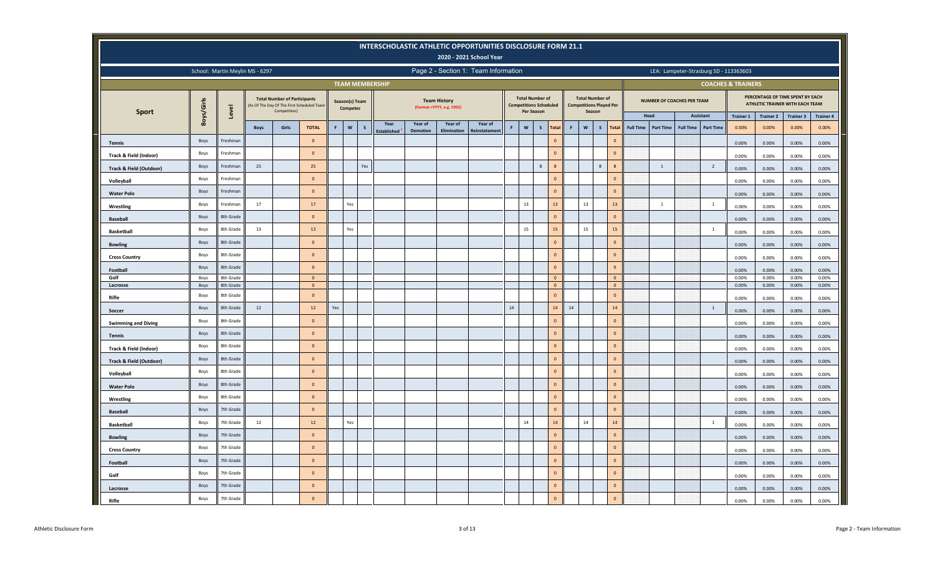|                                    |            |           |                                 |                                                     |                                           |     |                                   |     |                          |                 |                                                  | INTERSCHOLASTIC ATHLETIC OPPORTUNITIES DISCLOSURE FORM 21.1<br>2020 - 2021 School Year |      |              |                                                         |                              |    |                                                                    |                                  |                  |                                   |                  |                               |                                        |                           |                                                                     |                           |
|------------------------------------|------------|-----------|---------------------------------|-----------------------------------------------------|-------------------------------------------|-----|-----------------------------------|-----|--------------------------|-----------------|--------------------------------------------------|----------------------------------------------------------------------------------------|------|--------------|---------------------------------------------------------|------------------------------|----|--------------------------------------------------------------------|----------------------------------|------------------|-----------------------------------|------------------|-------------------------------|----------------------------------------|---------------------------|---------------------------------------------------------------------|---------------------------|
|                                    |            |           | School: Martin Meylin MS - 6297 |                                                     |                                           |     |                                   |     |                          |                 |                                                  | Page 2 - Section 1: Team Information                                                   |      |              |                                                         |                              |    |                                                                    |                                  |                  |                                   |                  |                               | LEA: Lampeter-Strasburg SD - 113363603 |                           |                                                                     |                           |
|                                    |            |           |                                 |                                                     |                                           |     |                                   |     | <b>TEAM MEMBERSHIP</b>   |                 |                                                  |                                                                                        |      |              |                                                         |                              |    |                                                                    |                                  |                  |                                   |                  |                               | <b>COACHES &amp; TRAINERS</b>          |                           |                                                                     |                           |
| <b>Sport</b>                       | Boys/Girls | Level     |                                 | <b>Total Number of Participants</b><br>Competition) | As Of The Day Of The First Scheduled Team |     | Season(s) Team<br><b>Competes</b> |     |                          |                 | <b>Team History</b><br>(Format =YYYY, e.g. 1955) |                                                                                        |      | Per Season   | <b>Total Number of</b><br><b>Competitions Scheduled</b> |                              |    | <b>Total Number of</b><br><b>Competitions Played Per</b><br>Season |                                  |                  | <b>NUMBER OF COACHES PER TEAM</b> |                  |                               |                                        |                           | PERCENTAGE OF TIME SPENT BY EACH<br>ATHLETIC TRAINER WITH EACH TEAM |                           |
|                                    |            |           | <b>Boys</b>                     | Girls                                               | <b>TOTAL</b>                              | F.  | $\mathsf{w}$                      | s   | Year                     | Year of         | Year of                                          | Year of                                                                                |      | $\mathsf{w}$ | $\mathsf{s}$                                            | <b>Total</b>                 |    | W<br>S                                                             | Total                            | <b>Full Time</b> | Head<br><b>Part Time</b>          | <b>Full Time</b> | Assistant<br><b>Part Time</b> | <b>Trainer 1</b><br>0.00%              | <b>Trainer 2</b><br>0.00% | <b>Trainer 3</b><br>0.00%                                           | <b>Trainer 4</b><br>0.00% |
| <b>Tennis</b>                      | Boys       | Freshman  |                                 |                                                     | $\overline{0}$                            |     |                                   |     | Established <sup>1</sup> | <b>Demotion</b> | Elimination                                      | Reinstatement                                                                          |      |              |                                                         | $\mathbf 0$                  |    |                                                                    | $\mathbf 0$                      |                  |                                   |                  |                               | 0.00%                                  | 0.00%                     | 0.00%                                                               | 0.00%                     |
|                                    | Boys       | Freshman  |                                 |                                                     | $\overline{0}$                            |     |                                   |     |                          |                 |                                                  |                                                                                        |      |              |                                                         | $\mathbf{0}$                 |    |                                                                    | $\mathbf{0}$                     |                  |                                   |                  |                               |                                        |                           |                                                                     |                           |
| Track & Field (Indoor)             | Boys       | Freshman  | 25                              |                                                     | 25                                        |     |                                   | Yes |                          |                 |                                                  |                                                                                        |      |              | $\,$ 8 $\,$                                             | 8                            |    | 8                                                                  | $\overline{\mathbf{8}}$          |                  | 1                                 |                  | $\overline{2}$                | 0.00%                                  | 0.00%                     | 0.00%                                                               | 0.00%                     |
| <b>Track &amp; Field (Outdoor)</b> |            |           |                                 |                                                     | $\mathbf{0}$                              |     |                                   |     |                          |                 |                                                  |                                                                                        |      |              |                                                         | $\mathbf{0}$                 |    |                                                                    | $\mathbf 0$                      |                  |                                   |                  |                               | 0.00%                                  | 0.00%                     | 0.00%                                                               | 0.00%                     |
| Volleyball                         | Boys       | Freshman  |                                 |                                                     | $\overline{0}$                            |     |                                   |     |                          |                 |                                                  |                                                                                        |      |              |                                                         | $\mathbf{0}$                 |    |                                                                    | $\mathbf{0}$                     |                  |                                   |                  |                               | 0.00%                                  | 0.00%                     | 0.00%                                                               | 0.00%                     |
| <b>Water Polo</b>                  | Boys       | Freshman  |                                 |                                                     |                                           |     |                                   |     |                          |                 |                                                  |                                                                                        |      |              |                                                         |                              |    |                                                                    |                                  |                  |                                   |                  |                               | 0.00%                                  | 0.00%                     | 0.00%                                                               | 0.00%                     |
| Wrestling                          | Boys       | Freshman  | 17                              |                                                     | 17                                        |     | Yes                               |     |                          |                 |                                                  |                                                                                        |      | 13           |                                                         | 13                           |    | 13                                                                 | 13                               |                  | 1                                 |                  | $\overline{1}$                | 0.00%                                  | 0.00%                     | 0.00%                                                               | 0.00%                     |
| <b>Baseball</b>                    | Boys       | 8th Grade |                                 |                                                     | $\overline{0}$                            |     |                                   |     |                          |                 |                                                  |                                                                                        |      |              |                                                         | $\Omega$                     |    |                                                                    | $\Omega$                         |                  |                                   |                  |                               | 0.00%                                  | 0.00%                     | 0.00%                                                               | 0.00%                     |
| <b>Basketball</b>                  | Boys       | 8th Grade | 13                              |                                                     | 13                                        |     | Yes                               |     |                          |                 |                                                  |                                                                                        |      | 15           |                                                         | 15                           |    | 15                                                                 | 15                               |                  |                                   |                  | $\overline{1}$                | 0.00%                                  | 0.00%                     | 0.00%                                                               | 0.00%                     |
| <b>Bowling</b>                     | Boys       | 8th Grade |                                 |                                                     | $\Omega$                                  |     |                                   |     |                          |                 |                                                  |                                                                                        |      |              |                                                         | $\mathbf{0}$                 |    |                                                                    | $\mathbf 0$                      |                  |                                   |                  |                               | 0.00%                                  | 0.00%                     | 0.00%                                                               | 0.00%                     |
| <b>Cross Country</b>               | Boys       | 8th Grade |                                 |                                                     | $\Omega$                                  |     |                                   |     |                          |                 |                                                  |                                                                                        |      |              |                                                         | $\Omega$                     |    |                                                                    | $\mathbf 0$                      |                  |                                   |                  |                               | 0.00%                                  | 0.00%                     | 0.00%                                                               | 0.00%                     |
| Football                           | Boys       | 8th Grade |                                 |                                                     | $\Omega$                                  |     |                                   |     |                          |                 |                                                  |                                                                                        |      |              |                                                         | $\mathbf{0}$                 |    |                                                                    | $\circ$                          |                  |                                   |                  |                               | 0.00%                                  | 0.00%                     | 0.00%                                                               | 0.00%                     |
| Golf                               | Boys       | 8th Grade |                                 |                                                     | $\overline{0}$                            |     |                                   |     |                          |                 |                                                  |                                                                                        |      |              |                                                         | $\overline{\mathbf{0}}$      |    |                                                                    | $\overline{0}$                   |                  |                                   |                  |                               | 0.00%                                  | 0.00%                     | 0.00%                                                               | 0.00%                     |
| Lacrosse                           | Boys       | 8th Grade |                                 |                                                     | $\overline{0}$<br>$\Omega$                |     |                                   |     |                          |                 |                                                  |                                                                                        |      |              |                                                         | $\mathbf{0}$<br>$\mathbf{0}$ |    |                                                                    | $\overline{0}$<br>$\overline{0}$ |                  |                                   |                  |                               | 0.00%                                  | 0.00%                     | 0.00%                                                               | 0.00%                     |
| Rifle                              | Boys       | 8th Grade |                                 |                                                     |                                           |     |                                   |     |                          |                 |                                                  |                                                                                        |      |              |                                                         |                              |    |                                                                    |                                  |                  |                                   |                  |                               | 0.00%                                  | 0.00%                     | 0.00%                                                               | 0.00%                     |
| Soccer                             | Boys       | 8th Grade | 12                              |                                                     | 12                                        | Yes |                                   |     |                          |                 |                                                  |                                                                                        | $14$ |              |                                                         | 14                           | 14 |                                                                    | 14                               |                  |                                   |                  | $\overline{1}$                | 0.00%                                  | 0.00%                     | 0.00%                                                               | 0.00%                     |
| <b>Swimming and Diving</b>         | Boys       | 8th Grade |                                 |                                                     | $\Omega$                                  |     |                                   |     |                          |                 |                                                  |                                                                                        |      |              |                                                         | $\mathbf{0}$                 |    |                                                                    | $\mathbf{0}$                     |                  |                                   |                  |                               | 0.00%                                  | 0.00%                     | 0.00%                                                               | 0.00%                     |
| <b>Tennis</b>                      | Boys       | 8th Grade |                                 |                                                     | $\Omega$                                  |     |                                   |     |                          |                 |                                                  |                                                                                        |      |              |                                                         | $\overline{0}$               |    |                                                                    | $\mathbf{0}$                     |                  |                                   |                  |                               | 0.00%                                  | 0.00%                     | 0.00%                                                               | 0.00%                     |
| Track & Field (Indoor)             | Boys       | 8th Grade |                                 |                                                     | $\overline{0}$                            |     |                                   |     |                          |                 |                                                  |                                                                                        |      |              |                                                         | $\overline{0}$               |    |                                                                    | $\circ$                          |                  |                                   |                  |                               | 0.00%                                  | 0.00%                     | 0.00%                                                               | 0.00%                     |
| Track & Field (Outdoor)            | Boys       | 8th Grade |                                 |                                                     | $\Omega$                                  |     |                                   |     |                          |                 |                                                  |                                                                                        |      |              |                                                         | $\overline{0}$               |    |                                                                    | $\circ$                          |                  |                                   |                  |                               | 0.00%                                  | 0.00%                     | 0.00%                                                               | 0.00%                     |
| Volleyball                         | Boys       | 8th Grade |                                 |                                                     | $\Omega$                                  |     |                                   |     |                          |                 |                                                  |                                                                                        |      |              |                                                         | $\Omega$                     |    |                                                                    | $\overline{0}$                   |                  |                                   |                  |                               | 0.00%                                  | 0.00%                     | 0.00%                                                               | 0.00%                     |
| <b>Water Polo</b>                  | Boys       | 8th Grade |                                 |                                                     | $\overline{0}$                            |     |                                   |     |                          |                 |                                                  |                                                                                        |      |              |                                                         | $\mathbf{0}$                 |    |                                                                    | $\overline{0}$                   |                  |                                   |                  |                               | 0.00%                                  | 0.00%                     | 0.00%                                                               | 0.00%                     |
| Wrestling                          | Boys       | 8th Grade |                                 |                                                     | $\overline{0}$                            |     |                                   |     |                          |                 |                                                  |                                                                                        |      |              |                                                         | $\mathbf{0}$                 |    |                                                                    | $\mathbf 0$                      |                  |                                   |                  |                               | 0.00%                                  | 0.00%                     | 0.00%                                                               | 0.00%                     |
| <b>Baseball</b>                    | Boys       | 7th Grade |                                 |                                                     | $\overline{0}$                            |     |                                   |     |                          |                 |                                                  |                                                                                        |      |              |                                                         | $\mathbf{0}$                 |    |                                                                    | $\mathbf 0$                      |                  |                                   |                  |                               | 0.00%                                  | 0.00%                     | 0.00%                                                               | 0.00%                     |
| <b>Basketball</b>                  | Boys       | 7th Grade | 12                              |                                                     | 12                                        |     | Yes                               |     |                          |                 |                                                  |                                                                                        |      | 14           |                                                         | $14\,$                       |    | 14                                                                 | $14$                             |                  |                                   |                  | $\overline{1}$                | 0.00%                                  | 0.00%                     | 0.00%                                                               | 0.00%                     |
| <b>Bowling</b>                     | Boys       | 7th Grade |                                 |                                                     | $\overline{0}$                            |     |                                   |     |                          |                 |                                                  |                                                                                        |      |              |                                                         | $\mathbf{0}$                 |    |                                                                    | $\mathbf 0$                      |                  |                                   |                  |                               | 0.00%                                  | 0.00%                     | 0.00%                                                               | 0.00%                     |
| <b>Cross Country</b>               | Boys       | 7th Grade |                                 |                                                     | $\mathbf{0}$                              |     |                                   |     |                          |                 |                                                  |                                                                                        |      |              |                                                         | $\mathbf{0}$                 |    |                                                                    | $\mathbf{0}$                     |                  |                                   |                  |                               | 0.00%                                  | 0.00%                     | 0.00%                                                               | 0.00%                     |
| Football                           | Boys       | 7th Grade |                                 |                                                     | $\overline{0}$                            |     |                                   |     |                          |                 |                                                  |                                                                                        |      |              |                                                         | $\mathbf{0}$                 |    |                                                                    | $\overline{0}$                   |                  |                                   |                  |                               | 0.00%                                  | 0.00%                     | 0.00%                                                               | 0.00%                     |
| Golf                               | Boys       | 7th Grade |                                 |                                                     | $\overline{0}$                            |     |                                   |     |                          |                 |                                                  |                                                                                        |      |              |                                                         | $\Omega$                     |    |                                                                    | $\Omega$                         |                  |                                   |                  |                               | 0.00%                                  | 0.00%                     | 0.00%                                                               | 0.00%                     |
| Lacrosse                           | Boys       | 7th Grade |                                 |                                                     | $\overline{0}$                            |     |                                   |     |                          |                 |                                                  |                                                                                        |      |              |                                                         | $\Omega$                     |    |                                                                    | $\mathbf{0}$                     |                  |                                   |                  |                               | 0.00%                                  | 0.00%                     | 0.00%                                                               | 0.00%                     |
| Rifle                              | Boys       | 7th Grade |                                 |                                                     | $\Omega$                                  |     |                                   |     |                          |                 |                                                  |                                                                                        |      |              |                                                         | $\mathbf 0$                  |    |                                                                    | $\mathbf 0$                      |                  |                                   |                  |                               | 0.00%                                  | 0.00%                     | 0.00%                                                               | 0.00%                     |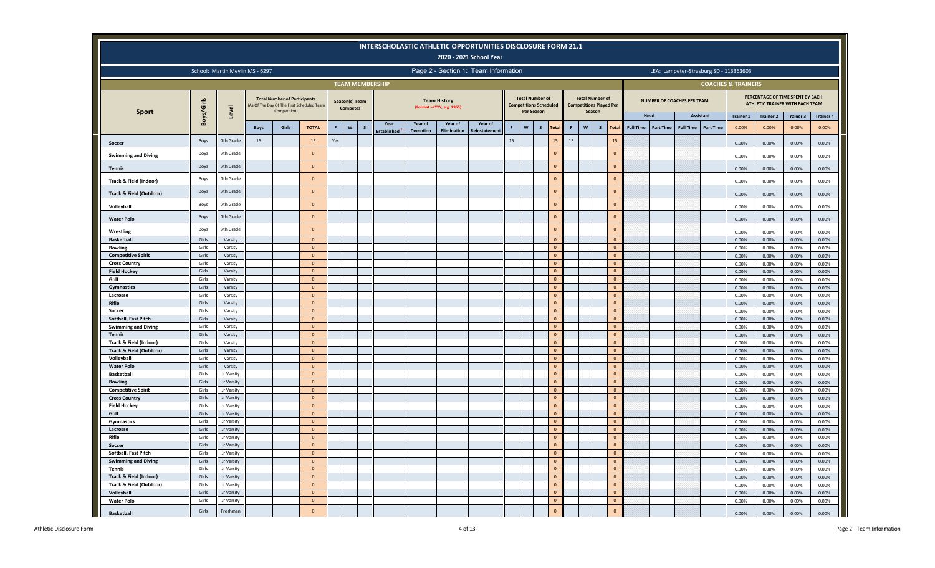|                                        |                |                                 |             |                                                     |                                           |     |                                       | <b>INTERSCHOLASTIC ATHLETIC OPPORTUNITIES DISCLOSURE FORM 21.1</b> |                            |                                                  | 2020 - 2021 School Year              |    |              |                                                         |        |                                                                    |                                  |                  |                                   |                  |                                        |                  |                  |                                                                     |                  |
|----------------------------------------|----------------|---------------------------------|-------------|-----------------------------------------------------|-------------------------------------------|-----|---------------------------------------|--------------------------------------------------------------------|----------------------------|--------------------------------------------------|--------------------------------------|----|--------------|---------------------------------------------------------|--------|--------------------------------------------------------------------|----------------------------------|------------------|-----------------------------------|------------------|----------------------------------------|------------------|------------------|---------------------------------------------------------------------|------------------|
|                                        |                | School: Martin Meylin MS - 6297 |             |                                                     |                                           |     |                                       |                                                                    |                            |                                                  | Page 2 - Section 1: Team Information |    |              |                                                         |        |                                                                    |                                  |                  |                                   |                  | LEA: Lampeter-Strasburg SD - 113363603 |                  |                  |                                                                     |                  |
|                                        |                |                                 |             |                                                     |                                           |     |                                       | <b>TEAM MEMBERSHIP</b>                                             |                            |                                                  |                                      |    |              |                                                         |        |                                                                    |                                  |                  |                                   |                  | <b>COACHES &amp; TRAINERS</b>          |                  |                  |                                                                     |                  |
|                                        | Boys/Girls     | Level                           |             | <b>Total Number of Participants</b><br>Competition) | As Of The Day Of The First Scheduled Team |     | Season(s) Team<br><b>Competes</b>     |                                                                    |                            | <b>Team History</b><br>(Format =YYYY, e.g. 1955) |                                      |    | Per Season   | <b>Total Number of</b><br><b>Competitions Scheduled</b> |        | <b>Total Number of</b><br><b>Competitions Played Per</b><br>Season |                                  |                  | <b>NUMBER OF COACHES PER TEAM</b> |                  |                                        |                  |                  | PERCENTAGE OF TIME SPENT BY EACH<br>ATHLETIC TRAINER WITH EACH TEAM |                  |
| <b>Sport</b>                           |                |                                 |             |                                                     |                                           |     |                                       |                                                                    |                            |                                                  |                                      |    |              |                                                         |        |                                                                    |                                  |                  | Head                              |                  | Assistant                              | <b>Trainer 1</b> | <b>Trainer 2</b> | <b>Trainer 3</b>                                                    | <b>Trainer 4</b> |
|                                        |                |                                 | <b>Boys</b> | Girls                                               | <b>TOTAL</b>                              | F.  | $\boldsymbol{\mathsf{w}}$<br><b>S</b> | Year<br>Established                                                | Year of<br><b>Demotion</b> | Year of<br>Elimination                           | Year of<br>einstatemer               | F  | $\mathsf{w}$ | $\mathsf{s}$<br>Total                                   | F      | $\mathsf{w}$<br>$\mathsf{s}$                                       | Total                            | <b>Full Time</b> | <b>Part Time</b>                  | <b>Full Time</b> | <b>Part Time</b>                       | 0.00%            | 0.00%            | 0.00%                                                               | 0.00%            |
| Soccer                                 | Boys           | 7th Grade                       | 15          |                                                     | 15                                        | Yes |                                       |                                                                    |                            |                                                  |                                      | 15 |              | $15\,$                                                  | $15\,$ |                                                                    | 15                               |                  |                                   |                  |                                        | 0.00%            | 0.00%            | 0.00%                                                               | 0.00%            |
| <b>Swimming and Diving</b>             | Boys           | 7th Grade                       |             |                                                     | $\mathbf{0}$                              |     |                                       |                                                                    |                            |                                                  |                                      |    |              | $\circ$                                                 |        |                                                                    | $\Omega$                         |                  |                                   |                  |                                        | 0.00%            | 0.00%            | 0.00%                                                               | 0.00%            |
| <b>Tennis</b>                          | Boys           | 7th Grade                       |             |                                                     | $\Omega$                                  |     |                                       |                                                                    |                            |                                                  |                                      |    |              | $\Omega$                                                |        |                                                                    | $\Omega$                         |                  |                                   |                  |                                        | 0.00%            | 0.00%            | 0.00%                                                               | 0.00%            |
| Track & Field (Indoor)                 | Boys           | 7th Grade                       |             |                                                     | $\Omega$                                  |     |                                       |                                                                    |                            |                                                  |                                      |    |              | $\mathbf{0}$                                            |        |                                                                    | $\Omega$                         |                  |                                   |                  |                                        | 0.00%            | 0.00%            | 0.00%                                                               | 0.00%            |
| Track & Field (Outdoor)                | Boys           | 7th Grade                       |             |                                                     | $\mathbf{0}$                              |     |                                       |                                                                    |                            |                                                  |                                      |    |              | $\mathbf 0$                                             |        |                                                                    | $\circ$                          |                  |                                   |                  |                                        | 0.00%            | 0.00%            | 0.00%                                                               | 0.00%            |
| Volleyball                             | Boys           | 7th Grade                       |             |                                                     | $\circ$                                   |     |                                       |                                                                    |                            |                                                  |                                      |    |              | $\circ$                                                 |        |                                                                    | $\Omega$                         |                  |                                   |                  |                                        | 0.00%            | 0.00%            | 0.00%                                                               | 0.00%            |
| <b>Water Polo</b>                      | Boys           | 7th Grade                       |             |                                                     | $\mathbf{0}$                              |     |                                       |                                                                    |                            |                                                  |                                      |    |              | $\circ$                                                 |        |                                                                    | $\mathbf{0}$                     |                  |                                   |                  |                                        | 0.00%            | 0.00%            | 0.00%                                                               | 0.00%            |
| Wrestling                              | Boys           | 7th Grade                       |             |                                                     | $\mathbf{0}$                              |     |                                       |                                                                    |                            |                                                  |                                      |    |              | $\Omega$                                                |        |                                                                    | $\Omega$                         |                  |                                   |                  |                                        | 0.00%            | 0.00%            | 0.00%                                                               | 0.00%            |
| <b>Basketball</b>                      | Girls          | Varsity                         |             |                                                     | $\mathbf{0}$                              |     |                                       |                                                                    |                            |                                                  |                                      |    |              | $\Omega$                                                |        |                                                                    | $\mathbf{0}$                     |                  |                                   |                  |                                        | 0.00%            | 0.00%            | 0.00%                                                               | 0.00%            |
| <b>Bowling</b>                         | Girls          | Varsity                         |             |                                                     | $\Omega$                                  |     |                                       |                                                                    |                            |                                                  |                                      |    |              | $\mathbf 0$                                             |        |                                                                    | $\circ$                          |                  |                                   |                  |                                        | 0.00%            | 0.00%            | 0.00%                                                               | 0.00%            |
| <b>Competitive Spirit</b>              | Girls          | Varsity                         |             |                                                     | $\overline{0}$                            |     |                                       |                                                                    |                            |                                                  |                                      |    |              | $\mathbf 0$                                             |        |                                                                    | $\circ$                          |                  |                                   |                  |                                        | 0.00%            | 0.00%            | 0.00%                                                               | 0.00%            |
| <b>Cross Country</b>                   | Girls          | Varsity                         |             |                                                     | $\mathbf{0}$                              |     |                                       |                                                                    |                            |                                                  |                                      |    |              | $\mathbf 0$                                             |        |                                                                    | $\circ$                          |                  |                                   |                  |                                        | 0.00%            | 0.00%            | 0.00%                                                               | 0.00%            |
| <b>Field Hockey</b>                    | Girls          | Varsity                         |             |                                                     | $\circ$                                   |     |                                       |                                                                    |                            |                                                  |                                      |    |              | $\mathbf 0$                                             |        |                                                                    | $\circ$                          |                  |                                   |                  |                                        | 0.00%            | 0.00%            | 0.00%                                                               | 0.00%            |
| Golf                                   | Girls          | Varsity                         |             |                                                     | $\mathbf{0}$                              |     |                                       |                                                                    |                            |                                                  |                                      |    |              | $\mathbf 0$                                             |        |                                                                    | $\circ$                          |                  |                                   |                  |                                        | 0.00%            | 0.00%            | 0.00%                                                               | 0.00%            |
| Gymnastics                             | Girls          | Varsity                         |             |                                                     | $\overline{0}$                            |     |                                       |                                                                    |                            |                                                  |                                      |    |              | $\mathbf 0$                                             |        |                                                                    | $\overline{0}$                   |                  |                                   |                  |                                        | 0.00%            | 0.00%            | 0.00%                                                               | 0.00%            |
| Lacrosse                               | Girls          | Varsity                         |             |                                                     | $\mathbf{0}$                              |     |                                       |                                                                    |                            |                                                  |                                      |    |              | $\mathbf 0$                                             |        |                                                                    | $\circ$                          |                  |                                   |                  |                                        | 0.00%            | 0.00%            | 0.00%                                                               | 0.00%            |
| Rifle                                  | Girls          | Varsity                         |             |                                                     | $\mathbf{0}$                              |     |                                       |                                                                    |                            |                                                  |                                      |    |              | $\mathbf 0$                                             |        |                                                                    | $\circ$                          |                  |                                   |                  |                                        | 0.00%            | 0.00%            | 0.00%                                                               | 0.00%            |
| Soccer                                 | Girls          | Varsity                         |             |                                                     | $\mathbf{0}$                              |     |                                       |                                                                    |                            |                                                  |                                      |    |              | $\mathbf 0$                                             |        |                                                                    | $\circ$                          |                  |                                   |                  |                                        | 0.00%            | 0.00%            | 0.00%                                                               | 0.00%            |
| Softball, Fast Pitch                   | Girls          | Varsity                         |             |                                                     | $\overline{0}$                            |     |                                       |                                                                    |                            |                                                  |                                      |    |              | $\overline{0}$                                          |        |                                                                    | $\overline{0}$                   |                  |                                   |                  |                                        | 0.00%            | 0.00%            | 0.00%                                                               | 0.00%            |
| <b>Swimming and Diving</b>             | Girls          | Varsity                         |             |                                                     | $\mathbf{0}$                              |     |                                       |                                                                    |                            |                                                  |                                      |    |              | $\mathbf 0$                                             |        |                                                                    | $\Omega$                         |                  |                                   |                  |                                        | 0.00%            | 0.00%            | 0.00%                                                               | 0.00%            |
| <b>Tennis</b>                          | Girls          | Varsity                         |             |                                                     | $\Omega$                                  |     |                                       |                                                                    |                            |                                                  |                                      |    |              | $\circ$                                                 |        |                                                                    | $\Omega$                         |                  |                                   |                  |                                        | 0.00%            | 0.00%            | 0.00%                                                               | 0.00%            |
| Track & Field (Indoor)                 | Girls<br>Girls | Varsity                         |             |                                                     | $\mathbf{0}$<br>$\mathbf{0}$              |     |                                       |                                                                    |                            |                                                  |                                      |    |              | $\mathbf 0$                                             |        |                                                                    | $\overline{0}$<br>$\overline{0}$ |                  |                                   |                  |                                        | 0.00%            | 0.00%            | 0.00%                                                               | 0.00%            |
| Track & Field (Outdoor)                |                | Varsity                         |             |                                                     | $\overline{0}$                            |     |                                       |                                                                    |                            |                                                  |                                      |    |              | $\mathbf 0$<br>$\mathbf{0}$                             |        |                                                                    | $\overline{0}$                   |                  |                                   |                  |                                        | 0.00%            | 0.00%            | 0.00%                                                               | 0.00%            |
| Volleyball                             | Girls<br>Girls | Varsity<br>Varsity              |             |                                                     | $\circ$                                   |     |                                       |                                                                    |                            |                                                  |                                      |    |              | $\mathbf{0}$                                            |        |                                                                    | $\mathbf{0}$                     |                  |                                   |                  |                                        | 0.00%            | 0.00%            | 0.00%                                                               | 0.00%            |
| <b>Water Polo</b><br><b>Basketball</b> | Girls          | Jr Varsity                      |             |                                                     | $\circ$                                   |     |                                       |                                                                    |                            |                                                  |                                      |    |              | $\mathbf 0$                                             |        |                                                                    | $\circ$                          |                  |                                   |                  |                                        | 0.00%<br>0.00%   | 0.00%<br>0.00%   | 0.00%<br>0.00%                                                      | 0.00%<br>0.00%   |
| <b>Bowling</b>                         | Girls          | Jr Varsity                      |             |                                                     | $\mathbf{0}$                              |     |                                       |                                                                    |                            |                                                  |                                      |    |              | $\mathbf 0$                                             |        |                                                                    | $\mathbf{0}$                     |                  |                                   |                  |                                        | 0.00%            | 0.00%            | 0.00%                                                               | 0.00%            |
| <b>Competitive Spirit</b>              | Girls          | Jr Varsity                      |             |                                                     | $\circ$                                   |     |                                       |                                                                    |                            |                                                  |                                      |    |              | $\mathbf{0}$                                            |        |                                                                    | $\circ$                          |                  |                                   |                  |                                        | 0.00%            | 0.00%            | 0.00%                                                               | 0.00%            |
| <b>Cross Country</b>                   | Girls          | Jr Varsity                      |             |                                                     | $\mathbf{0}$                              |     |                                       |                                                                    |                            |                                                  |                                      |    |              | $\mathbf 0$                                             |        |                                                                    | $\overline{0}$                   |                  |                                   |                  |                                        | 0.00%            | 0.00%            | 0.00%                                                               | 0.00%            |
| <b>Field Hockey</b>                    | Girls          | Jr Varsity                      |             |                                                     | $\overline{0}$                            |     |                                       |                                                                    |                            |                                                  |                                      |    |              | $\overline{0}$                                          |        |                                                                    | $\overline{0}$                   |                  |                                   |                  |                                        | 0.00%            | 0.00%            | 0.00%                                                               | 0.00%            |
| Golf                                   | Girls          | Jr Varsity                      |             |                                                     | $\mathbf{0}$                              |     |                                       |                                                                    |                            |                                                  |                                      |    |              | $\circ$                                                 |        |                                                                    | $\mathbf{0}$                     |                  |                                   |                  |                                        | 0.00%            | 0.00%            | 0.00%                                                               | 0.00%            |
| Gymnastics                             | Girls          | Jr Varsity                      |             |                                                     | $\mathbf{0}$                              |     |                                       |                                                                    |                            |                                                  |                                      |    |              | $\circ$                                                 |        |                                                                    | $\overline{0}$                   |                  |                                   |                  |                                        | 0.00%            | 0.00%            | 0.00%                                                               | 0.00%            |
| Lacrosse                               | Girls          | Jr Varsity                      |             |                                                     | $\mathbf{0}$                              |     |                                       |                                                                    |                            |                                                  |                                      |    |              | $\mathbf 0$                                             |        |                                                                    | $\Omega$                         |                  |                                   |                  |                                        | 0.00%            | 0.00%            | 0.00%                                                               | 0.00%            |
| Rifle                                  | Girls          | Jr Varsity                      |             |                                                     | $\overline{0}$                            |     |                                       |                                                                    |                            |                                                  |                                      |    |              | $\overline{0}$                                          |        |                                                                    | $\overline{0}$                   |                  |                                   |                  |                                        | 0.00%            | 0.00%            | 0.00%                                                               | 0.00%            |
| Soccer                                 | Girls          | Jr Varsity                      |             |                                                     | $\Omega$                                  |     |                                       |                                                                    |                            |                                                  |                                      |    |              | $\mathbf 0$                                             |        |                                                                    | $\Omega$                         |                  |                                   |                  |                                        | 0.00%            | 0.00%            | 0.00%                                                               | 0.00%            |
| Softball, Fast Pitch                   | Girls          | Jr Varsity                      |             |                                                     | $\mathbf{0}$                              |     |                                       |                                                                    |                            |                                                  |                                      |    |              | $\mathbf 0$                                             |        |                                                                    | $\overline{0}$                   |                  |                                   |                  |                                        | 0.00%            | 0.00%            | 0.00%                                                               | 0.00%            |
| <b>Swimming and Diving</b>             | Girls          | Jr Varsity                      |             |                                                     | $\mathbf{0}$                              |     |                                       |                                                                    |                            |                                                  |                                      |    |              | $\mathbf{0}$                                            |        |                                                                    | $\overline{0}$                   |                  |                                   |                  |                                        | 0.00%            | 0.00%            | 0.00%                                                               | 0.00%            |
| <b>Tennis</b>                          | Girls          | Jr Varsity                      |             |                                                     | $\mathbf{0}$                              |     |                                       |                                                                    |                            |                                                  |                                      |    |              | $\circ$                                                 |        |                                                                    | $\overline{0}$                   |                  |                                   |                  |                                        | 0.00%            | 0.00%            | 0.00%                                                               | 0.00%            |
| <b>Track &amp; Field (Indoor)</b>      | Girls          | Jr Varsity                      |             |                                                     | $\mathbf{0}$                              |     |                                       |                                                                    |                            |                                                  |                                      |    |              | $\mathbf{0}$                                            |        |                                                                    | $\overline{0}$                   |                  |                                   |                  |                                        | 0.00%            | 0.00%            | 0.00%                                                               | 0.00%            |
| Track & Field (Outdoor)                | Girls          | Jr Varsity                      |             |                                                     | $\mathbf{0}$                              |     |                                       |                                                                    |                            |                                                  |                                      |    |              | $\circ$                                                 |        |                                                                    | $\overline{0}$                   |                  |                                   |                  |                                        | 0.00%            | 0.00%            | 0.00%                                                               | 0.00%            |
| Volleyball                             | Girls          | Jr Varsity                      |             |                                                     | $\mathbf{0}$                              |     |                                       |                                                                    |                            |                                                  |                                      |    |              | $\circ$                                                 |        |                                                                    | $\mathbf{0}$                     |                  |                                   |                  |                                        | 0.00%            | 0.00%            | 0.00%                                                               | 0.00%            |
| <b>Water Polo</b>                      | Girls          | Jr Varsity                      |             |                                                     | $\circ$                                   |     |                                       |                                                                    |                            |                                                  |                                      |    |              | $\mathbf 0$                                             |        |                                                                    | $\mathbf{0}$                     |                  |                                   |                  |                                        | 0.00%            | 0.00%            | 0.00%                                                               | 0.00%            |
| <b>Basketball</b>                      | Girls          | Freshman                        |             |                                                     | $\Omega$                                  |     |                                       |                                                                    |                            |                                                  |                                      |    |              | $\mathbf 0$                                             |        |                                                                    | $\overline{0}$                   |                  |                                   |                  |                                        | 0.00%            | 0.00%            | 0.00%                                                               | 0.00%            |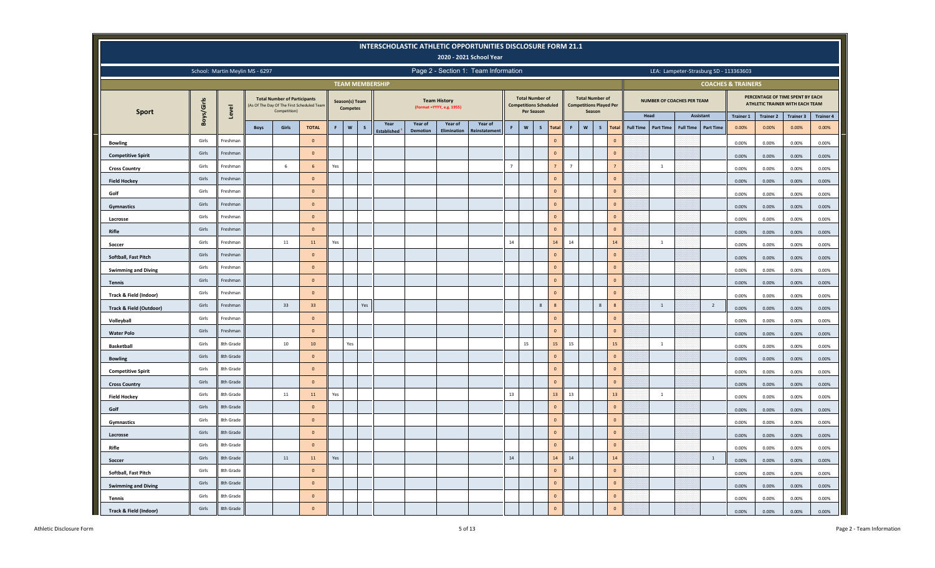|                            |            |                                 |             |                                                                                                  |                  |             |                                   |              |                        |                 |                                                   | INTERSCHOLASTIC ATHLETIC OPPORTUNITIES DISCLOSURE FORM 21.1<br>2020 - 2021 School Year |                |                                      |                               |                |                           |                                                                    |                |                  |                                   |                  |                                        |                               |                  |                                                                     |                  |
|----------------------------|------------|---------------------------------|-------------|--------------------------------------------------------------------------------------------------|------------------|-------------|-----------------------------------|--------------|------------------------|-----------------|---------------------------------------------------|----------------------------------------------------------------------------------------|----------------|--------------------------------------|-------------------------------|----------------|---------------------------|--------------------------------------------------------------------|----------------|------------------|-----------------------------------|------------------|----------------------------------------|-------------------------------|------------------|---------------------------------------------------------------------|------------------|
|                            |            | School: Martin Meylin MS - 6297 |             |                                                                                                  |                  |             |                                   |              |                        |                 |                                                   | Page 2 - Section 1: Team Information                                                   |                |                                      |                               |                |                           |                                                                    |                |                  |                                   |                  | LEA: Lampeter-Strasburg SD - 113363603 |                               |                  |                                                                     |                  |
|                            |            |                                 |             |                                                                                                  |                  |             |                                   |              | <b>TEAM MEMBERSHIP</b> |                 |                                                   |                                                                                        |                |                                      |                               |                |                           |                                                                    |                |                  |                                   |                  |                                        | <b>COACHES &amp; TRAINERS</b> |                  |                                                                     |                  |
| <b>Sport</b>               | Boys/Girls | Level                           |             | <b>Total Number of Participants</b><br>As Of The Day Of The First Scheduled Team<br>Competition) |                  |             | Season(s) Team<br><b>Competes</b> |              |                        |                 | <b>Team History</b><br>(Format = YYYY, e.g. 1955) |                                                                                        |                | <b>Total Number of</b><br>Per Season | <b>Competitions Scheduled</b> |                |                           | <b>Total Number of</b><br><b>Competitions Played Per</b><br>Season |                |                  | <b>NUMBER OF COACHES PER TEAM</b> |                  |                                        |                               |                  | PERCENTAGE OF TIME SPENT BY EACH<br>ATHLETIC TRAINER WITH EACH TEAM |                  |
|                            |            |                                 |             |                                                                                                  |                  |             |                                   |              | Year                   | Year of         | Year of                                           | Year of                                                                                |                |                                      |                               |                |                           |                                                                    |                |                  | Head                              |                  | Assistant                              | <b>Trainer 1</b>              | <b>Trainer 2</b> | <b>Trainer 3</b>                                                    | <b>Trainer 4</b> |
|                            |            |                                 | <b>Boys</b> | Girls                                                                                            | <b>TOTAL</b>     | $\mathsf F$ | $\boldsymbol{\mathsf{w}}$         | $\mathsf{s}$ | <b>stablished</b>      | <b>Demotion</b> | Elimination                                       | Reinstatemen                                                                           | $\mathsf F$    | $\mathsf{w}$                         | $\sf s$<br><b>Total</b>       | F              | $\boldsymbol{\mathsf{w}}$ | $\mathsf{s}$                                                       | <b>Total</b>   | <b>Full Time</b> | <b>Part Time</b>                  | <b>Full Time</b> | <b>Part Time</b>                       | 0.00%                         | 0.00%            | 0.00%                                                               | 0.00%            |
| <b>Bowling</b>             | Girls      | Freshman                        |             |                                                                                                  | $\circ$          |             |                                   |              |                        |                 |                                                   |                                                                                        |                |                                      | $\mathbf{0}$                  |                |                           |                                                                    | $\Omega$       |                  |                                   |                  |                                        | 0.00%                         | 0.00%            | 0.00%                                                               | 0.00%            |
| <b>Competitive Spirit</b>  | Girls      | Freshman                        |             |                                                                                                  | $\mathbf{0}$     |             |                                   |              |                        |                 |                                                   |                                                                                        |                |                                      | $\mathbf{0}$                  |                |                           |                                                                    | $\mathbf{0}$   |                  |                                   |                  |                                        | 0.00%                         | 0.00%            | 0.00%                                                               | 0.00%            |
| <b>Cross Country</b>       | Girls      | Freshman                        |             | 6                                                                                                | 6                | Yes         |                                   |              |                        |                 |                                                   |                                                                                        | $\overline{7}$ |                                      | $\overline{7}$                | $\overline{7}$ |                           |                                                                    | $\overline{7}$ |                  | $\mathbf{1}$                      |                  |                                        | 0.00%                         | 0.00%            | 0.00%                                                               | 0.00%            |
| <b>Field Hockey</b>        | Girls      | Freshman                        |             |                                                                                                  | $\circ$          |             |                                   |              |                        |                 |                                                   |                                                                                        |                |                                      | $\mathbf 0$                   |                |                           |                                                                    | $\Omega$       |                  |                                   |                  |                                        | 0.00%                         | 0.00%            | 0.00%                                                               | 0.00%            |
| Golf                       | Girls      | Freshman                        |             |                                                                                                  | $\mathbf{0}$     |             |                                   |              |                        |                 |                                                   |                                                                                        |                |                                      | $\mathbf{0}$                  |                |                           |                                                                    | $\mathbf{0}$   |                  |                                   |                  |                                        | 0.00%                         | 0.00%            | 0.00%                                                               | 0.00%            |
| Gymnastics                 | Girls      | Freshman                        |             |                                                                                                  | $\mathbf{0}$     |             |                                   |              |                        |                 |                                                   |                                                                                        |                |                                      | $\mathbf{0}$                  |                |                           |                                                                    | $\mathbf{0}$   |                  |                                   |                  |                                        | 0.00%                         | 0.00%            | 0.00%                                                               | 0.00%            |
| Lacrosse                   | Girls      | Freshman                        |             |                                                                                                  | $\circ$          |             |                                   |              |                        |                 |                                                   |                                                                                        |                |                                      | $\mathbf 0$                   |                |                           |                                                                    | $\circ$        |                  |                                   |                  |                                        | 0.00%                         | 0.00%            | 0.00%                                                               | 0.00%            |
| Rifle                      | Girls      | Freshman                        |             |                                                                                                  | $\circ$          |             |                                   |              |                        |                 |                                                   |                                                                                        |                |                                      | $\mathbf{0}$                  |                |                           |                                                                    | $\circ$        |                  |                                   |                  |                                        | 0.00%                         | 0.00%            | 0.00%                                                               | 0.00%            |
| Soccer                     | Girls      | Freshman                        |             | $11\,$                                                                                           | 11               | Yes         |                                   |              |                        |                 |                                                   |                                                                                        | $14\,$         |                                      | 14                            | $14\,$         |                           |                                                                    | 14             |                  | $\mathbf{1}$                      |                  |                                        | 0.00%                         | 0.00%            | 0.00%                                                               | 0.00%            |
| Softball, Fast Pitch       | Girls      | Freshman                        |             |                                                                                                  | $\mathbf{0}$     |             |                                   |              |                        |                 |                                                   |                                                                                        |                |                                      | $\mathbf{0}$                  |                |                           |                                                                    | $\circ$        |                  |                                   |                  |                                        | 0.00%                         | 0.00%            | 0.00%                                                               | 0.00%            |
| <b>Swimming and Diving</b> | Girls      | Freshman                        |             |                                                                                                  | $\Omega$         |             |                                   |              |                        |                 |                                                   |                                                                                        |                |                                      | $\mathbf 0$                   |                |                           |                                                                    | $\Omega$       |                  |                                   |                  |                                        | 0.00%                         | 0.00%            | 0.00%                                                               | 0.00%            |
| <b>Tennis</b>              | Girls      | Freshman                        |             |                                                                                                  | $\circ$          |             |                                   |              |                        |                 |                                                   |                                                                                        |                |                                      | $\mathbf{0}$                  |                |                           |                                                                    | $\Omega$       |                  |                                   |                  |                                        | 0.00%                         | 0.00%            | 0.00%                                                               | 0.00%            |
| Track & Field (Indoor)     | Girls      | Freshman                        |             |                                                                                                  | $\Omega$         |             |                                   |              |                        |                 |                                                   |                                                                                        |                |                                      | $\mathbf{0}$                  |                |                           |                                                                    | $\Omega$       |                  |                                   |                  |                                        | 0.00%                         | 0.00%            | 0.00%                                                               | 0.00%            |
| Track & Field (Outdoor)    | Girls      | Freshman                        |             | 33                                                                                               | 33               |             |                                   | Yes          |                        |                 |                                                   |                                                                                        |                |                                      | 8<br>$\boldsymbol{8}$         |                |                           | 8                                                                  | $\overline{8}$ |                  | $1\,$                             |                  | $\overline{2}$                         | 0.00%                         | 0.00%            | 0.00%                                                               | 0.00%            |
| Volleyball                 | Girls      | Freshman                        |             |                                                                                                  | $\circ$          |             |                                   |              |                        |                 |                                                   |                                                                                        |                |                                      | $\overline{0}$                |                |                           |                                                                    | $\mathbf{0}$   |                  |                                   |                  |                                        | 0.00%                         | 0.00%            | 0.00%                                                               | 0.00%            |
| <b>Water Polo</b>          | Girls      | Freshman                        |             |                                                                                                  | $\mathbf{0}$     |             |                                   |              |                        |                 |                                                   |                                                                                        |                |                                      | $\mathbf{0}$                  |                |                           |                                                                    | $\Omega$       |                  |                                   |                  |                                        | 0.00%                         | 0.00%            | 0.00%                                                               | 0.00%            |
| <b>Basketball</b>          | Girls      | 8th Grade                       |             | 10                                                                                               | 10 <sup>10</sup> |             | Yes                               |              |                        |                 |                                                   |                                                                                        |                | 15                                   | 15                            | 15             |                           |                                                                    | 15             |                  | $\mathbf{1}$                      |                  |                                        | 0.00%                         | 0.00%            | 0.00%                                                               | 0.00%            |
| <b>Bowling</b>             | Girls      | 8th Grade                       |             |                                                                                                  | $\mathbf 0$      |             |                                   |              |                        |                 |                                                   |                                                                                        |                |                                      | $\mathbf 0$                   |                |                           |                                                                    | $\circ$        |                  |                                   |                  |                                        | 0.00%                         | 0.00%            | 0.00%                                                               | 0.00%            |
| <b>Competitive Spirit</b>  | Girls      | 8th Grade                       |             |                                                                                                  | $\mathbf{0}$     |             |                                   |              |                        |                 |                                                   |                                                                                        |                |                                      | $\mathbf{0}$                  |                |                           |                                                                    | $\Omega$       |                  |                                   |                  |                                        | 0.00%                         | 0.00%            | 0.00%                                                               | 0.00%            |
| <b>Cross Country</b>       | Girls      | 8th Grade                       |             |                                                                                                  | $\mathbf{0}$     |             |                                   |              |                        |                 |                                                   |                                                                                        |                |                                      | $\mathbf{0}$                  |                |                           |                                                                    | $\circ$        |                  |                                   |                  |                                        | 0.00%                         | 0.00%            | 0.00%                                                               | 0.00%            |
| <b>Field Hockey</b>        | Girls      | 8th Grade                       |             | 11                                                                                               | $11\,$           | Yes         |                                   |              |                        |                 |                                                   |                                                                                        | 13             |                                      | 13                            | 13             |                           |                                                                    | 13             |                  | $\mathbf{1}$                      |                  |                                        | 0.00%                         | 0.00%            | 0.00%                                                               | 0.00%            |
| Golf                       | Girls      | 8th Grade                       |             |                                                                                                  | $\mathbf{0}$     |             |                                   |              |                        |                 |                                                   |                                                                                        |                |                                      | $\mathbf{0}$                  |                |                           |                                                                    | $\mathbf{0}$   |                  |                                   |                  |                                        | 0.00%                         | 0.00%            | 0.00%                                                               | 0.00%            |
| Gymnastics                 | Girls      | 8th Grade                       |             |                                                                                                  | $\mathbf{0}$     |             |                                   |              |                        |                 |                                                   |                                                                                        |                |                                      | $\mathbf{0}$                  |                |                           |                                                                    | $\mathbf{0}$   |                  |                                   |                  |                                        | 0.00%                         | 0.00%            | 0.00%                                                               | 0.00%            |
| Lacrosse                   | Girls      | 8th Grade                       |             |                                                                                                  | $\circ$          |             |                                   |              |                        |                 |                                                   |                                                                                        |                |                                      | $\mathbf{0}$                  |                |                           |                                                                    | $\circ$        |                  |                                   |                  |                                        | 0.00%                         | 0.00%            | 0.00%                                                               | 0.00%            |
| Rifle                      | Girls      | 8th Grade                       |             |                                                                                                  | $\circ$          |             |                                   |              |                        |                 |                                                   |                                                                                        |                |                                      | $\Omega$                      |                |                           |                                                                    | $\Omega$       |                  |                                   |                  |                                        | 0.00%                         | 0.00%            | 0.00%                                                               | 0.00%            |
| Soccer                     | Girls      | 8th Grade                       |             | 11                                                                                               | 11               | Yes         |                                   |              |                        |                 |                                                   |                                                                                        | $14\,$         |                                      | 14                            | $14\,$         |                           |                                                                    | 14             |                  |                                   |                  | $\mathbf{1}$                           | 0.00%                         | 0.00%            | 0.00%                                                               | 0.00%            |
| Softball, Fast Pitch       | Girls      | 8th Grade                       |             |                                                                                                  | $\mathbf{0}$     |             |                                   |              |                        |                 |                                                   |                                                                                        |                |                                      | $\mathbf{0}$                  |                |                           |                                                                    | $\overline{0}$ |                  |                                   |                  |                                        | 0.00%                         | 0.00%            | 0.00%                                                               | 0.00%            |
| <b>Swimming and Diving</b> | Girls      | 8th Grade                       |             |                                                                                                  | $\overline{0}$   |             |                                   |              |                        |                 |                                                   |                                                                                        |                |                                      | $\mathbf{0}$                  |                |                           |                                                                    | $\overline{0}$ |                  |                                   |                  |                                        | 0.00%                         | 0.00%            | 0.00%                                                               | 0.00%            |
| <b>Tennis</b>              | Girls      | 8th Grade                       |             |                                                                                                  | $\Omega$         |             |                                   |              |                        |                 |                                                   |                                                                                        |                |                                      | $\Omega$                      |                |                           |                                                                    | $\overline{0}$ |                  |                                   |                  |                                        | 0.00%                         | 0.00%            | 0.00%                                                               | 0.00%            |
| Track & Field (Indoor)     | Girls      | 8th Grade                       |             |                                                                                                  | $\Omega$         |             |                                   |              |                        |                 |                                                   |                                                                                        |                |                                      | $\mathbf 0$                   |                |                           |                                                                    | $\circ$        |                  |                                   |                  |                                        | 0.00%                         | $0.00\%$         | 0.00%                                                               | 0.00%            |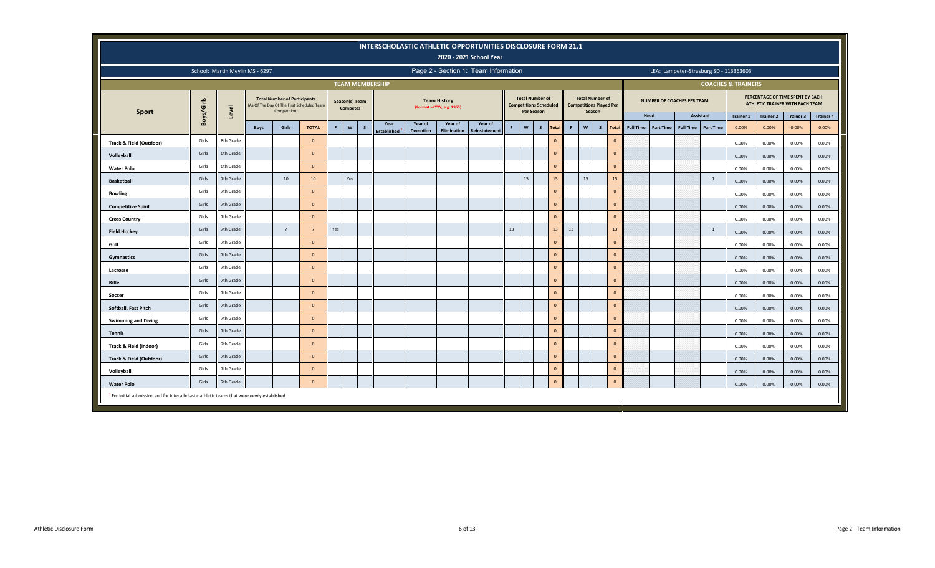|                                                                                                         |                                                                                                                                                                                                                                                                                                      |                                 |             |                                                                                                   |                |    |                                   |              |                          |                 |                                                  | INTERSCHOLASTIC ATHLETIC OPPORTUNITIES DISCLOSURE FORM 21.1<br>2020 - 2021 School Year |          |                                                         |              |              |    |                                                                    |              |                  |                                   |                  |                  |                                        |                  |                                                                     |                  |
|---------------------------------------------------------------------------------------------------------|------------------------------------------------------------------------------------------------------------------------------------------------------------------------------------------------------------------------------------------------------------------------------------------------------|---------------------------------|-------------|---------------------------------------------------------------------------------------------------|----------------|----|-----------------------------------|--------------|--------------------------|-----------------|--------------------------------------------------|----------------------------------------------------------------------------------------|----------|---------------------------------------------------------|--------------|--------------|----|--------------------------------------------------------------------|--------------|------------------|-----------------------------------|------------------|------------------|----------------------------------------|------------------|---------------------------------------------------------------------|------------------|
|                                                                                                         |                                                                                                                                                                                                                                                                                                      | School: Martin Meylin MS - 6297 |             |                                                                                                   |                |    |                                   |              |                          |                 |                                                  | Page 2 - Section 1: Team Information                                                   |          |                                                         |              |              |    |                                                                    |              |                  |                                   |                  |                  | LEA: Lampeter-Strasburg SD - 113363603 |                  |                                                                     |                  |
|                                                                                                         |                                                                                                                                                                                                                                                                                                      |                                 |             |                                                                                                   |                |    |                                   |              | <b>TEAM MEMBERSHIP</b>   |                 |                                                  |                                                                                        |          |                                                         |              |              |    |                                                                    |              |                  |                                   |                  |                  | <b>COACHES &amp; TRAINERS</b>          |                  |                                                                     |                  |
| <b>Sport</b>                                                                                            | Boys/Girls                                                                                                                                                                                                                                                                                           | Level                           |             | <b>Total Number of Participants</b><br>(As Of The Day Of The First Scheduled Team<br>Competition) |                |    | Season(s) Team<br><b>Competes</b> |              |                          |                 | <b>Team History</b><br>(Format =YYYY, e.g. 1955) |                                                                                        |          | <b>Total Number of</b><br><b>Competitions Scheduled</b> | Per Season   |              |    | <b>Total Number of</b><br><b>Competitions Played Per</b><br>Season |              |                  | <b>NUMBER OF COACHES PER TEAM</b> |                  |                  |                                        |                  | PERCENTAGE OF TIME SPENT BY EACH<br>ATHLETIC TRAINER WITH EACH TEAM |                  |
|                                                                                                         |                                                                                                                                                                                                                                                                                                      |                                 |             |                                                                                                   |                |    |                                   |              | Year                     | Year of         | Year of                                          | Year of                                                                                |          |                                                         |              |              |    |                                                                    |              |                  | Head                              |                  | <b>Assistant</b> | <b>Trainer 1</b>                       | <b>Trainer 2</b> | <b>Trainer 3</b>                                                    | <b>Trainer 4</b> |
|                                                                                                         |                                                                                                                                                                                                                                                                                                      |                                 | <b>Boys</b> | Girls                                                                                             | <b>TOTAL</b>   | F. | $\mathsf{w}$                      | $\mathsf{s}$ | Established <sup>1</sup> | <b>Demotion</b> | Elimination                                      | <b>Reinstatemen</b>                                                                    | <b>F</b> | $\boldsymbol{\mathsf{w}}$                               | $\mathsf{s}$ | Total        | F. | $\mathsf{w}$<br>$\mathsf{s}$                                       | <b>Total</b> | <b>Full Time</b> | <b>Part Time</b>                  | <b>Full Time</b> | <b>Part Time</b> | 0.00%                                  | 0.00%            | 0.00%                                                               | 0.00%            |
| Track & Field (Outdoor)                                                                                 | Girls                                                                                                                                                                                                                                                                                                | 8th Grade                       |             |                                                                                                   | $\overline{0}$ |    |                                   |              |                          |                 |                                                  |                                                                                        |          |                                                         |              | $\mathbf{0}$ |    |                                                                    | $\mathbf{0}$ |                  |                                   |                  |                  | 0.00%                                  | 0.00%            | 0.00%                                                               | 0.00%            |
| Volleyball                                                                                              | Girls                                                                                                                                                                                                                                                                                                | 8th Grade                       |             |                                                                                                   | $\Omega$       |    |                                   |              |                          |                 |                                                  |                                                                                        |          |                                                         |              | $\mathbf{0}$ |    |                                                                    | $\mathbf{0}$ |                  |                                   |                  |                  | 0.00%                                  | 0.00%            | 0.00%                                                               | 0.00%            |
| <b>Water Polo</b>                                                                                       | 8th Grade<br>$\mathbf{0}$<br>$\mathbf{0}$<br>Girls<br>$\Omega$<br>0.00%<br>0.00%<br>0.00%<br>7th Grade<br>10<br>Yes<br>15<br>15<br>15<br>15<br>Girls<br>10<br>$\overline{1}$<br>0.00%<br>0.00%<br>0.00%<br>$\mathbf{0}$<br>$\mathbf{0}$<br>Girls<br>7th Grade<br>$\Omega$<br>0.00%<br>0.00%<br>0.00% |                                 |             |                                                                                                   |                |    |                                   |              |                          |                 |                                                  |                                                                                        |          |                                                         |              | 0.00%        |    |                                                                    |              |                  |                                   |                  |                  |                                        |                  |                                                                     |                  |
| <b>Basketball</b>                                                                                       | $\mathbf{0}$<br>7th Grade<br>$\mathbf{0}$<br>Girls<br>$\Omega$<br>0.00%<br>0.00%<br>0.00%                                                                                                                                                                                                            |                                 |             |                                                                                                   |                |    |                                   |              |                          |                 |                                                  |                                                                                        |          |                                                         |              | 0.00%        |    |                                                                    |              |                  |                                   |                  |                  |                                        |                  |                                                                     |                  |
| <b>Bowling</b>                                                                                          |                                                                                                                                                                                                                                                                                                      |                                 |             |                                                                                                   |                |    |                                   |              |                          |                 |                                                  |                                                                                        |          |                                                         |              | 0.00%        |    |                                                                    |              |                  |                                   |                  |                  |                                        |                  |                                                                     |                  |
| <b>Competitive Spirit</b>                                                                               | $\mathbf{0}$<br>7th Grade<br>$\mathbf{0}$<br>Girls<br>$\Omega$<br>0.00%<br>0.00%<br>0.00%                                                                                                                                                                                                            |                                 |             |                                                                                                   |                |    |                                   |              |                          |                 |                                                  |                                                                                        |          |                                                         |              | 0.00%        |    |                                                                    |              |                  |                                   |                  |                  |                                        |                  |                                                                     |                  |
| <b>Cross Country</b>                                                                                    | 13<br>13<br>13<br>13<br>Girls<br>7th Grade<br>$7^{\circ}$<br>Yes<br>$\overline{1}$                                                                                                                                                                                                                   |                                 |             |                                                                                                   |                |    |                                   |              |                          |                 |                                                  |                                                                                        |          |                                                         |              | 0.00%        |    |                                                                    |              |                  |                                   |                  |                  |                                        |                  |                                                                     |                  |
| <b>Field Hockey</b>                                                                                     |                                                                                                                                                                                                                                                                                                      |                                 |             |                                                                                                   |                |    |                                   |              |                          |                 |                                                  |                                                                                        |          |                                                         |              |              |    |                                                                    |              |                  |                                   |                  |                  | 0.00%                                  | 0.00%            | 0.00%                                                               | 0.00%            |
| Golf                                                                                                    | Girls                                                                                                                                                                                                                                                                                                | 7th Grade                       |             |                                                                                                   | $\Omega$       |    |                                   |              |                          |                 |                                                  |                                                                                        |          |                                                         |              | $\mathbf{0}$ |    |                                                                    | $\mathbf{0}$ |                  |                                   |                  |                  | 0.00%                                  | 0.00%            | 0.00%                                                               | 0.00%            |
| Gymnastics                                                                                              | Girls                                                                                                                                                                                                                                                                                                | 7th Grade                       |             |                                                                                                   | $\Omega$       |    |                                   |              |                          |                 |                                                  |                                                                                        |          |                                                         |              | $\mathbf{0}$ |    |                                                                    | $\mathbf 0$  |                  |                                   |                  |                  | 0.00%                                  | 0.00%            | 0.00%                                                               | 0.00%            |
| Lacrosse                                                                                                | Girls                                                                                                                                                                                                                                                                                                | 7th Grade                       |             |                                                                                                   | $\Omega$       |    |                                   |              |                          |                 |                                                  |                                                                                        |          |                                                         |              | $\mathbf{0}$ |    |                                                                    | $\mathbf{0}$ |                  |                                   |                  |                  | 0.00%                                  | 0.00%            | 0.00%                                                               | 0.00%            |
| <b>Rifle</b>                                                                                            | Girls                                                                                                                                                                                                                                                                                                | 7th Grade                       |             |                                                                                                   | $\Omega$       |    |                                   |              |                          |                 |                                                  |                                                                                        |          |                                                         |              | $\mathbf{0}$ |    |                                                                    | $\Omega$     |                  |                                   |                  |                  | 0.00%                                  | 0.00%            | 0.00%                                                               | 0.00%            |
| Soccer                                                                                                  | Girls                                                                                                                                                                                                                                                                                                | 7th Grade                       |             |                                                                                                   | $\Omega$       |    |                                   |              |                          |                 |                                                  |                                                                                        |          |                                                         |              | $\mathbf{0}$ |    |                                                                    | $\mathbf{0}$ |                  |                                   |                  |                  | 0.00%                                  | 0.00%            | 0.00%                                                               | 0.00%            |
| Softball, Fast Pitch                                                                                    | Girls                                                                                                                                                                                                                                                                                                | 7th Grade                       |             |                                                                                                   | $\Omega$       |    |                                   |              |                          |                 |                                                  |                                                                                        |          |                                                         |              | $\mathbf{0}$ |    |                                                                    | $\mathbf{0}$ |                  |                                   |                  |                  | 0.00%                                  | 0.00%            | 0.00%                                                               | 0.00%            |
| <b>Swimming and Diving</b>                                                                              | Girls                                                                                                                                                                                                                                                                                                | 7th Grade                       |             |                                                                                                   | $\Omega$       |    |                                   |              |                          |                 |                                                  |                                                                                        |          |                                                         |              | $\mathbf{0}$ |    |                                                                    | $\mathbf{0}$ |                  |                                   |                  |                  | 0.00%                                  | 0.00%            | 0.00%                                                               | 0.00%            |
| <b>Tennis</b>                                                                                           | Girls                                                                                                                                                                                                                                                                                                | 7th Grade                       |             |                                                                                                   | $\Omega$       |    |                                   |              |                          |                 |                                                  |                                                                                        |          |                                                         |              | $\mathbf{0}$ |    |                                                                    | $\mathbf{0}$ |                  |                                   |                  |                  | 0.00%                                  | 0.00%            | 0.00%                                                               | 0.00%            |
| Track & Field (Indoor)                                                                                  | Girls                                                                                                                                                                                                                                                                                                | 7th Grade                       |             |                                                                                                   | $\Omega$       |    |                                   |              |                          |                 |                                                  |                                                                                        |          |                                                         |              | $\mathbf{0}$ |    |                                                                    | $\mathbf{0}$ |                  |                                   |                  |                  | 0.00%                                  | 0.00%            | 0.00%                                                               | 0.00%            |
| Track & Field (Outdoor)                                                                                 | Girls                                                                                                                                                                                                                                                                                                | 7th Grade                       |             |                                                                                                   | $\Omega$       |    |                                   |              |                          |                 |                                                  |                                                                                        |          |                                                         |              | $\mathbf{0}$ |    |                                                                    | $\mathbf{0}$ |                  |                                   |                  |                  | 0.00%                                  | 0.00%            | 0.00%                                                               | 0.00%            |
| Volleyball                                                                                              | Girls                                                                                                                                                                                                                                                                                                | 7th Grade                       |             |                                                                                                   | $\Omega$       |    |                                   |              |                          |                 |                                                  |                                                                                        |          |                                                         |              | $\mathbf{0}$ |    |                                                                    | $\mathbf{0}$ |                  |                                   |                  |                  | 0.00%                                  | 0.00%            | 0.00%                                                               | 0.00%            |
| <b>Water Polo</b>                                                                                       | Girls                                                                                                                                                                                                                                                                                                | 7th Grade                       |             |                                                                                                   | $\mathbf{0}$   |    |                                   |              |                          |                 |                                                  |                                                                                        |          |                                                         |              | $\mathbf{0}$ |    |                                                                    | $\mathbf 0$  |                  |                                   |                  |                  | 0.00%                                  | 0.00%            | 0.00%                                                               | 0.00%            |
| <sup>1</sup> For initial submission and for interscholastic athletic teams that were newly established. |                                                                                                                                                                                                                                                                                                      |                                 |             |                                                                                                   |                |    |                                   |              |                          |                 |                                                  |                                                                                        |          |                                                         |              |              |    |                                                                    |              |                  |                                   |                  |                  |                                        |                  |                                                                     |                  |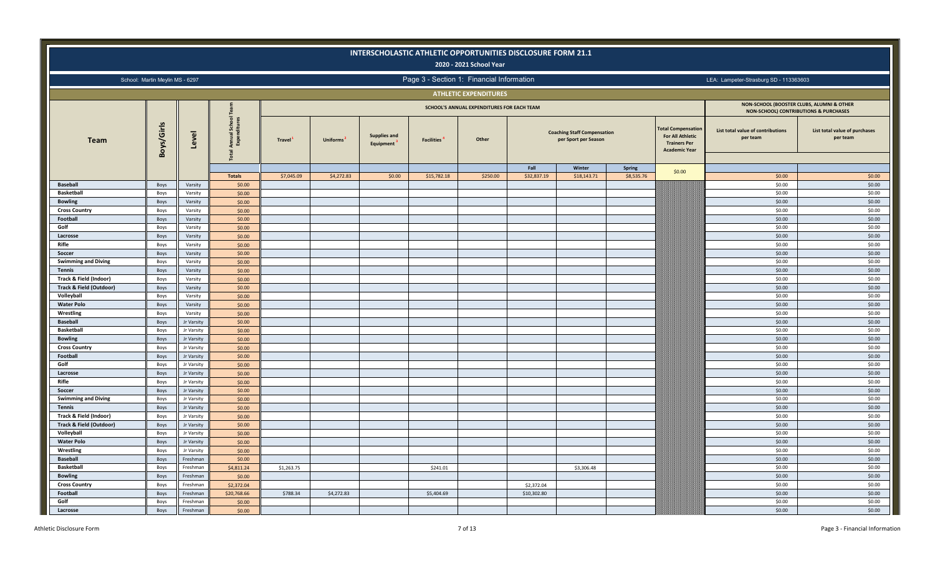|                                                              |                                 |                    |                                            |                     |            | INTERSCHOLASTIC ATHLETIC OPPORTUNITIES DISCLOSURE FORM 21.1 |                   | 2020 - 2021 School Year                    |             |                                                            |               |                                                                                                     |                                                                                    |                                           |
|--------------------------------------------------------------|---------------------------------|--------------------|--------------------------------------------|---------------------|------------|-------------------------------------------------------------|-------------------|--------------------------------------------|-------------|------------------------------------------------------------|---------------|-----------------------------------------------------------------------------------------------------|------------------------------------------------------------------------------------|-------------------------------------------|
|                                                              | School: Martin Meylin MS - 6297 |                    |                                            |                     |            |                                                             |                   | Page 3 - Section 1: Financial Information  |             |                                                            |               |                                                                                                     | LEA: Lampeter-Strasburg SD - 113363603                                             |                                           |
|                                                              |                                 |                    |                                            |                     |            |                                                             |                   | <b>ATHLETIC EXPENDITURES</b>               |             |                                                            |               |                                                                                                     |                                                                                    |                                           |
|                                                              |                                 |                    |                                            |                     |            |                                                             |                   | SCHOOL'S ANNUAL EXPENDITURES FOR EACH TEAM |             |                                                            |               |                                                                                                     | NON-SCHOOL (BOOSTER CLUBS, ALUMNI & OTHER<br>NON-SCHOOL) CONTRIBUTIONS & PURCHASES |                                           |
| <b>Team</b>                                                  | Boys/Girls                      | Level              | School<br>ditures<br>Annual<br>Expeno<br>혼 | Travel <sup>1</sup> | Uniforms   | <b>Supplies and</b><br>Equipment                            | <b>Facilities</b> | Other                                      |             | <b>Coaching Staff Compensation</b><br>per Sport per Season |               | <b>Total Compensation</b><br><b>For All Athletic</b><br><b>Trainers Per</b><br><b>Academic Year</b> | List total value of contributions<br>per team                                      | List total value of purchases<br>per team |
|                                                              |                                 |                    |                                            |                     |            |                                                             |                   |                                            | Fall        | Winter                                                     | <b>Spring</b> | \$0.00                                                                                              |                                                                                    |                                           |
|                                                              |                                 |                    | <b>Totals</b>                              | \$7,045.09          | \$4,272.83 | \$0.00                                                      | \$15,782.18       | \$250.00                                   | \$32,837.19 | \$18,143.71                                                | \$8,535.76    |                                                                                                     | \$0.00                                                                             | \$0.00                                    |
| <b>Baseball</b>                                              | Boys                            | Varsity            | \$0.00                                     |                     |            |                                                             |                   |                                            |             |                                                            |               |                                                                                                     | \$0.00                                                                             | \$0.00                                    |
| <b>Basketball</b>                                            | Boys                            | Varsity            | \$0.00                                     |                     |            |                                                             |                   |                                            |             |                                                            |               |                                                                                                     | \$0.00                                                                             | \$0.00                                    |
| <b>Bowling</b>                                               | Boys                            | Varsity            | \$0.00                                     |                     |            |                                                             |                   |                                            |             |                                                            |               |                                                                                                     | \$0.00                                                                             | \$0.00                                    |
| <b>Cross Country</b>                                         | Boys                            | Varsity            | \$0.00                                     |                     |            |                                                             |                   |                                            |             |                                                            |               |                                                                                                     | \$0.00                                                                             | \$0.00                                    |
| Football<br>Golf                                             | Boys                            | Varsity            | \$0.00                                     |                     |            |                                                             |                   |                                            |             |                                                            |               |                                                                                                     | \$0.00                                                                             | \$0.00                                    |
|                                                              | Boys                            | Varsity            | \$0.00                                     |                     |            |                                                             |                   |                                            |             |                                                            |               |                                                                                                     | \$0.00<br>\$0.00                                                                   | \$0.00<br>\$0.00                          |
| Lacrosse                                                     | Boys                            | Varsity            | \$0.00                                     |                     |            |                                                             |                   |                                            |             |                                                            |               |                                                                                                     |                                                                                    |                                           |
| Rifle<br>Soccer                                              | Boys                            | Varsity<br>Varsity | \$0.00                                     |                     |            |                                                             |                   |                                            |             |                                                            |               |                                                                                                     | \$0.00<br>\$0.00                                                                   | \$0.00<br>\$0.00                          |
|                                                              | Boys                            |                    | \$0.00                                     |                     |            |                                                             |                   |                                            |             |                                                            |               |                                                                                                     |                                                                                    |                                           |
| <b>Swimming and Diving</b>                                   | Boys                            | Varsity            | \$0.00                                     |                     |            |                                                             |                   |                                            |             |                                                            |               |                                                                                                     | \$0.00                                                                             | \$0.00                                    |
| <b>Tennis</b>                                                | Boys                            | Varsity            | \$0.00                                     |                     |            |                                                             |                   |                                            |             |                                                            |               |                                                                                                     | \$0.00<br>\$0.00                                                                   | \$0.00<br>\$0.00                          |
| Track & Field (Indoor)<br><b>Track &amp; Field (Outdoor)</b> | Boys                            | Varsity            | \$0.00                                     |                     |            |                                                             |                   |                                            |             |                                                            |               |                                                                                                     | \$0.00                                                                             | \$0.00                                    |
| Volleyball                                                   | Boys<br>Boys                    | Varsity<br>Varsity | \$0.00<br>\$0.00                           |                     |            |                                                             |                   |                                            |             |                                                            |               |                                                                                                     | \$0.00                                                                             | \$0.00                                    |
| <b>Water Polo</b>                                            | Boys                            | Varsity            | \$0.00                                     |                     |            |                                                             |                   |                                            |             |                                                            |               |                                                                                                     | \$0.00                                                                             | \$0.00                                    |
| Wrestling                                                    | Boys                            | Varsity            | \$0.00                                     |                     |            |                                                             |                   |                                            |             |                                                            |               |                                                                                                     | \$0.00                                                                             | \$0.00                                    |
| <b>Baseball</b>                                              | Boys                            | Jr Varsity         | \$0.00                                     |                     |            |                                                             |                   |                                            |             |                                                            |               |                                                                                                     | \$0.00                                                                             | \$0.00                                    |
| <b>Basketball</b>                                            | Boys                            | Jr Varsity         | \$0.00                                     |                     |            |                                                             |                   |                                            |             |                                                            |               |                                                                                                     | \$0.00                                                                             | \$0.00                                    |
| <b>Bowling</b>                                               | Boys                            | Jr Varsity         | \$0.00                                     |                     |            |                                                             |                   |                                            |             |                                                            |               |                                                                                                     | \$0.00                                                                             | \$0.00                                    |
| <b>Cross Country</b>                                         | Boys                            | Jr Varsity         | \$0.00                                     |                     |            |                                                             |                   |                                            |             |                                                            |               |                                                                                                     | \$0.00                                                                             | \$0.00                                    |
| Football                                                     | Boys                            | Jr Varsity         | \$0.00                                     |                     |            |                                                             |                   |                                            |             |                                                            |               |                                                                                                     | \$0.00                                                                             | \$0.00                                    |
| Golf                                                         | Boys                            | Jr Varsity         | \$0.00                                     |                     |            |                                                             |                   |                                            |             |                                                            |               |                                                                                                     | \$0.00                                                                             | \$0.00                                    |
| Lacrosse                                                     | Boys                            | Jr Varsity         | \$0.00                                     |                     |            |                                                             |                   |                                            |             |                                                            |               |                                                                                                     | \$0.00                                                                             | \$0.00                                    |
| Rifle                                                        | Boys                            | Jr Varsity         | \$0.00                                     |                     |            |                                                             |                   |                                            |             |                                                            |               |                                                                                                     | \$0.00                                                                             | \$0.00                                    |
| Soccer                                                       | Boys                            | Jr Varsity         | \$0.00                                     |                     |            |                                                             |                   |                                            |             |                                                            |               |                                                                                                     | \$0.00                                                                             | \$0.00                                    |
| <b>Swimming and Diving</b>                                   | Boys                            | Jr Varsity         | \$0.00                                     |                     |            |                                                             |                   |                                            |             |                                                            |               |                                                                                                     | \$0.00                                                                             | \$0.00                                    |
| <b>Tennis</b>                                                | Boys                            | Jr Varsity         | \$0.00                                     |                     |            |                                                             |                   |                                            |             |                                                            |               |                                                                                                     | \$0.00                                                                             | \$0.00                                    |
| Track & Field (Indoor)                                       | Boys                            | Jr Varsity         | \$0.00                                     |                     |            |                                                             |                   |                                            |             |                                                            |               |                                                                                                     | \$0.00                                                                             | \$0.00                                    |
| <b>Track &amp; Field (Outdoor)</b>                           | Boys                            | Jr Varsity         | \$0.00                                     |                     |            |                                                             |                   |                                            |             |                                                            |               |                                                                                                     | \$0.00                                                                             | \$0.00                                    |
| Volleyball                                                   | Boys                            | Jr Varsity         | \$0.00                                     |                     |            |                                                             |                   |                                            |             |                                                            |               |                                                                                                     | \$0.00                                                                             | \$0.00                                    |
| <b>Water Polo</b>                                            | Boys                            | Jr Varsity         | \$0.00                                     |                     |            |                                                             |                   |                                            |             |                                                            |               |                                                                                                     | \$0.00                                                                             | \$0.00                                    |
| Wrestling                                                    | Boys                            | Jr Varsity         | \$0.00                                     |                     |            |                                                             |                   |                                            |             |                                                            |               |                                                                                                     | \$0.00                                                                             | \$0.00                                    |
| <b>Baseball</b>                                              | Boys                            | Freshman           | \$0.00                                     |                     |            |                                                             |                   |                                            |             |                                                            |               |                                                                                                     | \$0.00                                                                             | \$0.00                                    |
| <b>Basketball</b>                                            | Boys                            | Freshman           | \$4,811.24                                 | \$1,263.75          |            |                                                             | \$241.01          |                                            |             | \$3,306.48                                                 |               |                                                                                                     | \$0.00                                                                             | \$0.00                                    |
| <b>Bowling</b>                                               | Boys                            | Freshman           | \$0.00                                     |                     |            |                                                             |                   |                                            |             |                                                            |               |                                                                                                     | \$0.00                                                                             | \$0.00                                    |
| <b>Cross Country</b>                                         | Boys                            | Freshman           | \$2,372.04                                 |                     |            |                                                             |                   |                                            | \$2,372.04  |                                                            |               |                                                                                                     | \$0.00                                                                             | \$0.00                                    |
| Football                                                     | Boys                            | Freshman           | \$20,768.66                                | \$788.34            | \$4,272.83 |                                                             | \$5,404.69        |                                            | \$10,302.80 |                                                            |               |                                                                                                     | \$0.00                                                                             | \$0.00                                    |
| Golf                                                         | Boys                            | Freshman           | \$0.00                                     |                     |            |                                                             |                   |                                            |             |                                                            |               |                                                                                                     | \$0.00                                                                             | \$0.00                                    |
| Lacrosse                                                     | Boys                            | Freshman           | \$0.00                                     |                     |            |                                                             |                   |                                            |             |                                                            |               |                                                                                                     | \$0.00                                                                             | \$0.00                                    |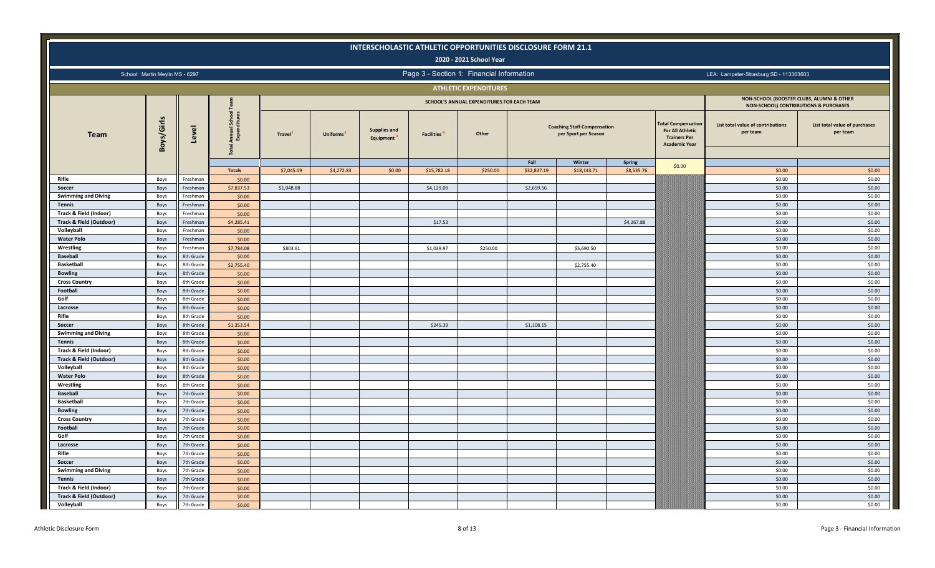|                                                              |                                 |                      |                                                |                     |                 |                                  | INTERSCHOLASTIC ATHLETIC OPPORTUNITIES DISCLOSURE FORM 21.1 | 2020 - 2021 School Year                    |             |                                                            |               |                                                                                                     |                                                                                    |                                           |
|--------------------------------------------------------------|---------------------------------|----------------------|------------------------------------------------|---------------------|-----------------|----------------------------------|-------------------------------------------------------------|--------------------------------------------|-------------|------------------------------------------------------------|---------------|-----------------------------------------------------------------------------------------------------|------------------------------------------------------------------------------------|-------------------------------------------|
|                                                              | School: Martin Meylin MS - 6297 |                      |                                                |                     |                 |                                  | Page 3 - Section 1: Financial Information                   |                                            |             |                                                            |               |                                                                                                     | LEA: Lampeter-Strasburg SD - 113363603                                             |                                           |
|                                                              |                                 |                      |                                                |                     |                 |                                  |                                                             | <b>ATHLETIC EXPENDITURES</b>               |             |                                                            |               |                                                                                                     |                                                                                    |                                           |
|                                                              |                                 |                      |                                                |                     |                 |                                  |                                                             | SCHOOL'S ANNUAL EXPENDITURES FOR EACH TEAM |             |                                                            |               |                                                                                                     | NON-SCHOOL (BOOSTER CLUBS, ALUMNI & OTHER<br>NON-SCHOOL) CONTRIBUTIONS & PURCHASES |                                           |
| <b>Team</b>                                                  | Boys/Girls                      | Level                | ह<br>Annual Scho<br>Expenditur<br><b>Total</b> | Travel <sup>1</sup> | <b>Uniforms</b> | <b>Supplies and</b><br>Equipment | <b>Facilities</b>                                           | Other                                      |             | <b>Coaching Staff Compensation</b><br>per Sport per Season |               | <b>Total Compensation</b><br><b>For All Athletic</b><br><b>Trainers Per</b><br><b>Academic Year</b> | List total value of contributions<br>per team                                      | List total value of purchases<br>per team |
|                                                              |                                 |                      |                                                |                     |                 |                                  |                                                             |                                            | Fall        | Winter                                                     | <b>Spring</b> | \$0.00                                                                                              |                                                                                    |                                           |
|                                                              |                                 |                      | <b>Totals</b>                                  | \$7,045.09          | \$4,272.83      | \$0.00                           | \$15,782.18                                                 | \$250.00                                   | \$32,837.19 | \$18,143.71                                                | \$8,535.76    |                                                                                                     | \$0.00                                                                             | \$0.00                                    |
| Rifle                                                        | Boys                            | Freshman             | \$0.00                                         |                     |                 |                                  |                                                             |                                            |             |                                                            |               |                                                                                                     | \$0.00                                                                             | \$0.00                                    |
| Soccer                                                       | Boys                            | Freshman             | \$7,837.53                                     | \$1,048.88          |                 |                                  | \$4,129.09                                                  |                                            | \$2,659.56  |                                                            |               |                                                                                                     | \$0.00                                                                             | \$0.00                                    |
| <b>Swimming and Diving</b>                                   | Boys                            | Freshman             | \$0.00                                         |                     |                 |                                  |                                                             |                                            |             |                                                            |               |                                                                                                     | \$0.00                                                                             | \$0.00                                    |
| <b>Tennis</b>                                                | Boys                            | Freshman             | \$0.00                                         |                     |                 |                                  |                                                             |                                            |             |                                                            |               |                                                                                                     | \$0.00                                                                             | \$0.00                                    |
| Track & Field (Indoor)<br><b>Track &amp; Field (Outdoor)</b> | Boys                            | Freshman             | \$0.00                                         |                     |                 |                                  |                                                             |                                            |             |                                                            |               |                                                                                                     | \$0.00<br>\$0.00                                                                   | \$0.00<br>\$0.00                          |
| Volleyball                                                   | Boys<br>Boys                    | Freshman<br>Freshman | \$4,285.41<br>\$0.00                           |                     |                 |                                  | \$17.53                                                     |                                            |             |                                                            | \$4,267.88    |                                                                                                     | \$0.00                                                                             | \$0.00                                    |
| <b>Water Polo</b>                                            | Boys                            | Freshman             | \$0.00                                         |                     |                 |                                  |                                                             |                                            |             |                                                            |               |                                                                                                     | \$0.00                                                                             | \$0.00                                    |
| Wrestling                                                    | Boys                            | Freshman             | \$7,784.08                                     | \$803.61            |                 |                                  | \$1,039.97                                                  | \$250.00                                   |             | \$5,690.50                                                 |               |                                                                                                     | \$0.00                                                                             | \$0.00                                    |
| <b>Baseball</b>                                              | Boys                            | 8th Grade            | \$0.00                                         |                     |                 |                                  |                                                             |                                            |             |                                                            |               |                                                                                                     | \$0.00                                                                             | \$0.00                                    |
| <b>Basketball</b>                                            | Boys                            | 8th Grade            | \$2,755.40                                     |                     |                 |                                  |                                                             |                                            |             | \$2,755.40                                                 |               |                                                                                                     | \$0.00                                                                             | \$0.00                                    |
| <b>Bowling</b>                                               | Boys                            | 8th Grade            | \$0.00                                         |                     |                 |                                  |                                                             |                                            |             |                                                            |               |                                                                                                     | \$0.00                                                                             | \$0.00                                    |
| <b>Cross Country</b>                                         | Boys                            | 8th Grade            | \$0.00                                         |                     |                 |                                  |                                                             |                                            |             |                                                            |               |                                                                                                     | \$0.00                                                                             | \$0.00                                    |
| Football                                                     | Boys                            | 8th Grade            | \$0.00                                         |                     |                 |                                  |                                                             |                                            |             |                                                            |               |                                                                                                     | \$0.00                                                                             | \$0.00                                    |
| Golf                                                         | Boys                            | 8th Grade            | \$0.00                                         |                     |                 |                                  |                                                             |                                            |             |                                                            |               |                                                                                                     | \$0.00                                                                             | \$0.00                                    |
| Lacrosse                                                     | Boys                            | 8th Grade            | \$0.00                                         |                     |                 |                                  |                                                             |                                            |             |                                                            |               |                                                                                                     | \$0.00                                                                             | \$0.00                                    |
| Rifle                                                        | Boys                            | 8th Grade            | \$0.00                                         |                     |                 |                                  |                                                             |                                            |             |                                                            |               |                                                                                                     | \$0.00                                                                             | \$0.00                                    |
| Soccer                                                       | Boys                            | 8th Grade            | \$1,353.54                                     |                     |                 |                                  | \$245.39                                                    |                                            | \$1,108.15  |                                                            |               |                                                                                                     | \$0.00                                                                             | \$0.00                                    |
| <b>Swimming and Diving</b>                                   | Boys                            | 8th Grade            | \$0.00                                         |                     |                 |                                  |                                                             |                                            |             |                                                            |               |                                                                                                     | \$0.00                                                                             | \$0.00                                    |
| <b>Tennis</b>                                                | Boys                            | 8th Grade            | \$0.00                                         |                     |                 |                                  |                                                             |                                            |             |                                                            |               |                                                                                                     | \$0.00                                                                             | \$0.00                                    |
| Track & Field (Indoor)                                       | Boys                            | 8th Grade            | \$0.00                                         |                     |                 |                                  |                                                             |                                            |             |                                                            |               |                                                                                                     | \$0.00                                                                             | \$0.00                                    |
| <b>Track &amp; Field (Outdoor)</b>                           | Boys                            | 8th Grade            | \$0.00                                         |                     |                 |                                  |                                                             |                                            |             |                                                            |               |                                                                                                     | \$0.00                                                                             | \$0.00                                    |
| Volleyball                                                   | Boys                            | 8th Grade            | \$0.00                                         |                     |                 |                                  |                                                             |                                            |             |                                                            |               |                                                                                                     | \$0.00                                                                             | \$0.00                                    |
| <b>Water Polo</b>                                            | Boys                            | 8th Grade            | \$0.00                                         |                     |                 |                                  |                                                             |                                            |             |                                                            |               |                                                                                                     | \$0.00                                                                             | \$0.00                                    |
| Wrestling                                                    | Boys                            | 8th Grade            | \$0.00                                         |                     |                 |                                  |                                                             |                                            |             |                                                            |               |                                                                                                     | \$0.00                                                                             | \$0.00                                    |
| <b>Baseball</b>                                              | Boys                            | 7th Grade            | \$0.00                                         |                     |                 |                                  |                                                             |                                            |             |                                                            |               |                                                                                                     | \$0.00                                                                             | \$0.00                                    |
| <b>Basketball</b>                                            | Boys                            | 7th Grade            | \$0.00                                         |                     |                 |                                  |                                                             |                                            |             |                                                            |               |                                                                                                     | \$0.00                                                                             | \$0.00                                    |
| <b>Bowling</b>                                               | Boys                            | 7th Grade            | \$0.00                                         |                     |                 |                                  |                                                             |                                            |             |                                                            |               |                                                                                                     | \$0.00                                                                             | \$0.00                                    |
| <b>Cross Country</b>                                         | Boys                            | 7th Grade            | \$0.00                                         |                     |                 |                                  |                                                             |                                            |             |                                                            |               |                                                                                                     | \$0.00                                                                             | \$0.00                                    |
| Football                                                     | Boys                            | 7th Grade            | \$0.00                                         |                     |                 |                                  |                                                             |                                            |             |                                                            |               |                                                                                                     | \$0.00                                                                             | \$0.00                                    |
| Golf                                                         | Boys                            | 7th Grade            | \$0.00                                         |                     |                 |                                  |                                                             |                                            |             |                                                            |               |                                                                                                     | \$0.00                                                                             | \$0.00                                    |
| Lacrosse                                                     | Boys                            | 7th Grade            | \$0.00                                         |                     |                 |                                  |                                                             |                                            |             |                                                            |               |                                                                                                     | \$0.00                                                                             | \$0.00                                    |
| Rifle                                                        | Boys                            | 7th Grade            | \$0.00                                         |                     |                 |                                  |                                                             |                                            |             |                                                            |               |                                                                                                     | \$0.00                                                                             | \$0.00                                    |
| Soccer                                                       | Boys                            | 7th Grade            | \$0.00                                         |                     |                 |                                  |                                                             |                                            |             |                                                            |               |                                                                                                     | \$0.00                                                                             | \$0.00                                    |
| <b>Swimming and Diving</b>                                   | Boys                            | 7th Grade            | \$0.00                                         |                     |                 |                                  |                                                             |                                            |             |                                                            |               |                                                                                                     | \$0.00                                                                             | \$0.00                                    |
| <b>Tennis</b>                                                | Boys                            | 7th Grade            | \$0.00                                         |                     |                 |                                  |                                                             |                                            |             |                                                            |               |                                                                                                     | \$0.00                                                                             | \$0.00                                    |
| Track & Field (Indoor)                                       | Boys                            | 7th Grade            | \$0.00                                         |                     |                 |                                  |                                                             |                                            |             |                                                            |               |                                                                                                     | \$0.00                                                                             | \$0.00                                    |
| <b>Track &amp; Field (Outdoor)</b>                           | Boys                            | 7th Grade            | \$0.00                                         |                     |                 |                                  |                                                             |                                            |             |                                                            |               |                                                                                                     | \$0.00                                                                             | \$0.00                                    |
| Volleyball                                                   | Boys                            | 7th Grade            | \$0.00                                         |                     |                 |                                  |                                                             |                                            |             |                                                            |               |                                                                                                     | \$0.00                                                                             | \$0.00                                    |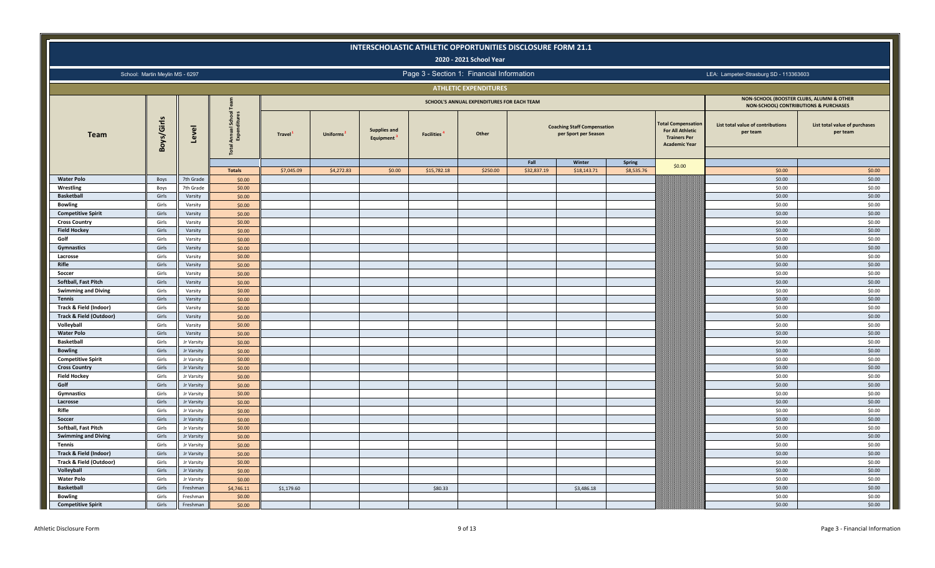|                                             |                                 |                          |                                               |            |                 | INTERSCHOLASTIC ATHLETIC OPPORTUNITIES DISCLOSURE FORM 21.1 |                               | 2020 - 2021 School Year                    |             |                                                            |               |                                                                                                     |                                                                                    |                                           |
|---------------------------------------------|---------------------------------|--------------------------|-----------------------------------------------|------------|-----------------|-------------------------------------------------------------|-------------------------------|--------------------------------------------|-------------|------------------------------------------------------------|---------------|-----------------------------------------------------------------------------------------------------|------------------------------------------------------------------------------------|-------------------------------------------|
|                                             |                                 |                          |                                               |            |                 |                                                             |                               |                                            |             |                                                            |               |                                                                                                     |                                                                                    |                                           |
|                                             | School: Martin Meylin MS - 6297 |                          |                                               |            |                 |                                                             |                               | Page 3 - Section 1: Financial Information  |             |                                                            |               |                                                                                                     | LEA: Lampeter-Strasburg SD - 113363603                                             |                                           |
|                                             |                                 |                          |                                               |            |                 |                                                             |                               | <b>ATHLETIC EXPENDITURES</b>               |             |                                                            |               |                                                                                                     |                                                                                    |                                           |
|                                             |                                 |                          |                                               |            |                 |                                                             |                               | SCHOOL'S ANNUAL EXPENDITURES FOR EACH TEAM |             |                                                            |               |                                                                                                     | NON-SCHOOL (BOOSTER CLUBS, ALUMNI & OTHER<br>NON-SCHOOL) CONTRIBUTIONS & PURCHASES |                                           |
| <b>Team</b>                                 | Boys/Girls                      | Level                    | Annual School<br>Expenditures<br><b>Total</b> | Travel     | <b>Uniforms</b> | <b>Supplies and</b><br>Equipment                            | <b>Facilities<sup>4</sup></b> | Other                                      |             | <b>Coaching Staff Compensation</b><br>per Sport per Season |               | <b>Total Compensation</b><br><b>For All Athletic</b><br><b>Trainers Per</b><br><b>Academic Year</b> | List total value of contributions<br>per team                                      | List total value of purchases<br>per team |
|                                             |                                 |                          |                                               |            |                 |                                                             |                               |                                            | Fall        | Winter                                                     | <b>Spring</b> | \$0.00                                                                                              |                                                                                    |                                           |
|                                             |                                 |                          | <b>Totals</b>                                 | \$7,045.09 | \$4,272.83      | \$0.00                                                      | \$15,782.18                   | \$250.00                                   | \$32,837.19 | \$18,143.71                                                | \$8,535.76    |                                                                                                     | \$0.00<br>\$0.00                                                                   | \$0.00<br>\$0.00                          |
| <b>Water Polo</b><br>Wrestling              | Boys<br>Boys                    | 7th Grade<br>7th Grade   | \$0.00<br>\$0.00                              |            |                 |                                                             |                               |                                            |             |                                                            |               |                                                                                                     | \$0.00                                                                             | \$0.00                                    |
| <b>Basketball</b>                           | Girls                           | Varsity                  | \$0.00                                        |            |                 |                                                             |                               |                                            |             |                                                            |               |                                                                                                     | \$0.00                                                                             | \$0.00                                    |
| <b>Bowling</b>                              | Girls                           | Varsity                  | \$0.00                                        |            |                 |                                                             |                               |                                            |             |                                                            |               |                                                                                                     | \$0.00                                                                             | \$0.00                                    |
| <b>Competitive Spirit</b>                   | Girls                           | Varsity                  | \$0.00                                        |            |                 |                                                             |                               |                                            |             |                                                            |               |                                                                                                     | \$0.00                                                                             | \$0.00                                    |
| <b>Cross Country</b>                        | Girls                           | Varsity                  | \$0.00                                        |            |                 |                                                             |                               |                                            |             |                                                            |               |                                                                                                     | \$0.00                                                                             | \$0.00                                    |
| <b>Field Hockey</b>                         | Girls                           | Varsity                  | \$0.00                                        |            |                 |                                                             |                               |                                            |             |                                                            |               |                                                                                                     | \$0.00                                                                             | \$0.00                                    |
| Golf                                        | Girls                           | Varsity                  | \$0.00                                        |            |                 |                                                             |                               |                                            |             |                                                            |               |                                                                                                     | \$0.00                                                                             | \$0.00                                    |
| Gymnastics                                  | Girls                           | Varsity                  | \$0.00                                        |            |                 |                                                             |                               |                                            |             |                                                            |               |                                                                                                     | \$0.00                                                                             | \$0.00                                    |
| Lacrosse                                    | Girls                           | Varsity                  | \$0.00                                        |            |                 |                                                             |                               |                                            |             |                                                            |               |                                                                                                     | \$0.00                                                                             | \$0.00                                    |
| Rifle                                       | Girls                           | Varsity                  | \$0.00                                        |            |                 |                                                             |                               |                                            |             |                                                            |               |                                                                                                     | \$0.00                                                                             | \$0.00                                    |
| Soccer                                      | Girls                           | Varsity                  | \$0.00                                        |            |                 |                                                             |                               |                                            |             |                                                            |               |                                                                                                     | \$0.00                                                                             | \$0.00                                    |
| Softball, Fast Pitch                        | Girls                           | Varsity                  | \$0.00                                        |            |                 |                                                             |                               |                                            |             |                                                            |               |                                                                                                     | \$0.00                                                                             | \$0.00                                    |
| <b>Swimming and Diving</b>                  | Girls                           | Varsity                  | \$0.00                                        |            |                 |                                                             |                               |                                            |             |                                                            |               |                                                                                                     | \$0.00                                                                             | \$0.00                                    |
| <b>Tennis</b>                               | Girls                           | Varsity                  | \$0.00                                        |            |                 |                                                             |                               |                                            |             |                                                            |               |                                                                                                     | \$0.00                                                                             | \$0.00                                    |
| Track & Field (Indoor)                      | Girls                           | Varsity                  | \$0.00                                        |            |                 |                                                             |                               |                                            |             |                                                            |               |                                                                                                     | \$0.00                                                                             | \$0.00                                    |
| Track & Field (Outdoor)                     | Girls                           | Varsity                  | \$0.00                                        |            |                 |                                                             |                               |                                            |             |                                                            |               |                                                                                                     | \$0.00                                                                             | \$0.00                                    |
| Volleyball                                  | Girls                           | Varsity                  | \$0.00                                        |            |                 |                                                             |                               |                                            |             |                                                            |               |                                                                                                     | \$0.00                                                                             | \$0.00                                    |
| <b>Water Polo</b>                           | Girls                           | Varsity                  | \$0.00                                        |            |                 |                                                             |                               |                                            |             |                                                            |               |                                                                                                     | \$0.00                                                                             | \$0.00                                    |
| <b>Basketball</b>                           | Girls                           | Jr Varsity               | \$0.00                                        |            |                 |                                                             |                               |                                            |             |                                                            |               |                                                                                                     | \$0.00                                                                             | \$0.00                                    |
| <b>Bowling</b>                              | Girls                           | Jr Varsity               | \$0.00                                        |            |                 |                                                             |                               |                                            |             |                                                            |               |                                                                                                     | \$0.00                                                                             | \$0.00                                    |
| <b>Competitive Spirit</b>                   | Girls                           | Jr Varsity               | \$0.00                                        |            |                 |                                                             |                               |                                            |             |                                                            |               |                                                                                                     | \$0.00                                                                             | \$0.00                                    |
| <b>Cross Country</b>                        | Girls                           | Jr Varsity               | \$0.00                                        |            |                 |                                                             |                               |                                            |             |                                                            |               |                                                                                                     | \$0.00                                                                             | \$0.00                                    |
| <b>Field Hockey</b>                         | Girls                           | Jr Varsity               | \$0.00                                        |            |                 |                                                             |                               |                                            |             |                                                            |               |                                                                                                     | \$0.00                                                                             | \$0.00                                    |
| Golf                                        | Girls                           | Jr Varsity               | \$0.00                                        |            |                 |                                                             |                               |                                            |             |                                                            |               |                                                                                                     | \$0.00                                                                             | \$0.00                                    |
| <b>Gymnastics</b>                           | Girls                           | Jr Varsity               | \$0.00                                        |            |                 |                                                             |                               |                                            |             |                                                            |               |                                                                                                     | \$0.00                                                                             | \$0.00                                    |
| Lacrosse                                    | Girls                           | Jr Varsity               | \$0.00                                        |            |                 |                                                             |                               |                                            |             |                                                            |               |                                                                                                     | \$0.00                                                                             | \$0.00                                    |
| Rifle                                       | Girls                           | Jr Varsity               | \$0.00                                        |            |                 |                                                             |                               |                                            |             |                                                            |               |                                                                                                     | \$0.00                                                                             | \$0.00                                    |
| Soccer                                      | Girls                           | Jr Varsity               | \$0.00                                        |            |                 |                                                             |                               |                                            |             |                                                            |               |                                                                                                     | \$0.00                                                                             | \$0.00                                    |
| Softball, Fast Pitch                        | Girls                           | Jr Varsity               | \$0.00                                        |            |                 |                                                             |                               |                                            |             |                                                            |               |                                                                                                     | \$0.00                                                                             | \$0.00                                    |
| <b>Swimming and Diving</b><br><b>Tennis</b> | Girls                           | Jr Varsity               | \$0.00                                        |            |                 |                                                             |                               |                                            |             |                                                            |               |                                                                                                     | \$0.00<br>\$0.00                                                                   | \$0.00<br>\$0.00                          |
| Track & Field (Indoor)                      | Girls<br>Girls                  | Jr Varsity<br>Jr Varsity | \$0.00                                        |            |                 |                                                             |                               |                                            |             |                                                            |               |                                                                                                     | \$0.00                                                                             | \$0.00                                    |
| Track & Field (Outdoor)                     | Girls                           | Jr Varsity               | \$0.00<br>\$0.00                              |            |                 |                                                             |                               |                                            |             |                                                            |               |                                                                                                     | \$0.00                                                                             | \$0.00                                    |
| Volleyball                                  | Girls                           | Jr Varsity               | \$0.00                                        |            |                 |                                                             |                               |                                            |             |                                                            |               |                                                                                                     | \$0.00                                                                             | \$0.00                                    |
| <b>Water Polo</b>                           | Girls                           | Jr Varsity               | \$0.00                                        |            |                 |                                                             |                               |                                            |             |                                                            |               |                                                                                                     | \$0.00                                                                             | \$0.00                                    |
| <b>Basketball</b>                           | Girls                           | Freshman                 | \$4,746.11                                    | \$1,179.60 |                 |                                                             | \$80.33                       |                                            |             | \$3,486.18                                                 |               |                                                                                                     | \$0.00                                                                             | \$0.00                                    |
| <b>Bowling</b>                              | Girls                           | Freshman                 | \$0.00                                        |            |                 |                                                             |                               |                                            |             |                                                            |               |                                                                                                     | \$0.00                                                                             | \$0.00                                    |
| <b>Competitive Spirit</b>                   | Girls                           | Freshman                 | \$0.00                                        |            |                 |                                                             |                               |                                            |             |                                                            |               |                                                                                                     | \$0.00                                                                             | \$0.00                                    |
|                                             |                                 |                          |                                               |            |                 |                                                             |                               |                                            |             |                                                            |               |                                                                                                     |                                                                                    |                                           |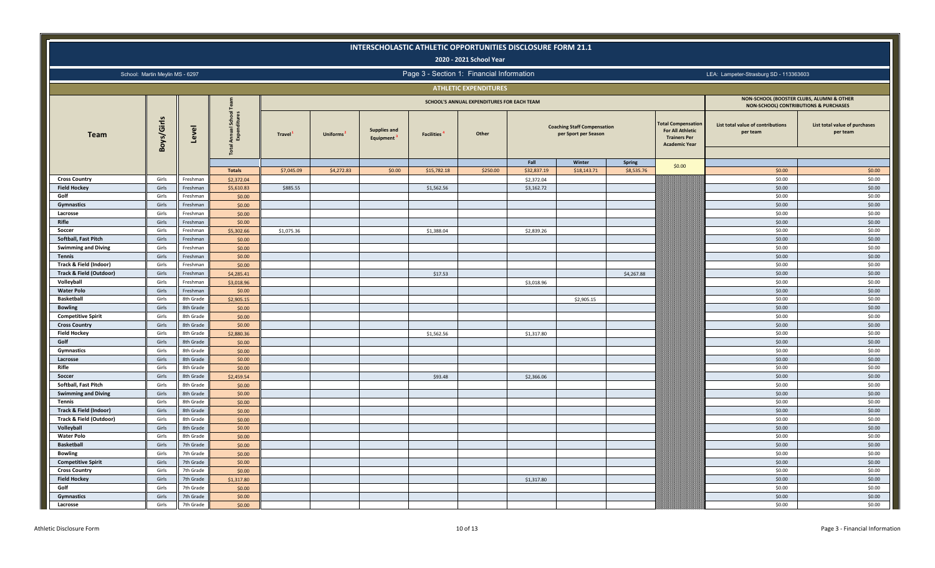|                            |                                 |                      |                                           |            |                 | INTERSCHOLASTIC ATHLETIC OPPORTUNITIES DISCLOSURE FORM 21.1 |                               | 2020 - 2021 School Year                    |             |                                                            |            |                                                                                                     |                                                                                    |                                           |
|----------------------------|---------------------------------|----------------------|-------------------------------------------|------------|-----------------|-------------------------------------------------------------|-------------------------------|--------------------------------------------|-------------|------------------------------------------------------------|------------|-----------------------------------------------------------------------------------------------------|------------------------------------------------------------------------------------|-------------------------------------------|
|                            |                                 |                      |                                           |            |                 |                                                             |                               |                                            |             |                                                            |            |                                                                                                     |                                                                                    |                                           |
|                            | School: Martin Meylin MS - 6297 |                      |                                           |            |                 |                                                             |                               | Page 3 - Section 1: Financial Information  |             |                                                            |            |                                                                                                     | LEA: Lampeter-Strasburg SD - 113363603                                             |                                           |
|                            |                                 |                      |                                           |            |                 |                                                             |                               | <b>ATHLETIC EXPENDITURES</b>               |             |                                                            |            |                                                                                                     |                                                                                    |                                           |
|                            |                                 |                      |                                           |            |                 |                                                             |                               | SCHOOL'S ANNUAL EXPENDITURES FOR EACH TEAM |             |                                                            |            |                                                                                                     | NON-SCHOOL (BOOSTER CLUBS, ALUMNI & OTHER<br>NON-SCHOOL) CONTRIBUTIONS & PURCHASES |                                           |
| <b>Team</b>                | Boys/Girls                      | Level                | Annual Scho<br>Expenditur<br><b>Total</b> | Travel     | <b>Uniforms</b> | <b>Supplies and</b><br>Equipment                            | <b>Facilities<sup>4</sup></b> | Other                                      |             | <b>Coaching Staff Compensation</b><br>per Sport per Season |            | <b>Total Compensation</b><br><b>For All Athletic</b><br><b>Trainers Per</b><br><b>Academic Year</b> | List total value of contributions<br>per team                                      | List total value of purchases<br>per team |
|                            |                                 |                      |                                           |            |                 |                                                             |                               |                                            | Fall        | Winter                                                     | Spring     | \$0.00                                                                                              |                                                                                    |                                           |
|                            |                                 |                      | <b>Totals</b>                             | \$7,045.09 | \$4,272.83      | \$0.00                                                      | \$15,782.18                   | \$250.00                                   | \$32,837.19 | \$18,143.71                                                | \$8,535.76 |                                                                                                     | \$0.00                                                                             | \$0.00                                    |
| <b>Cross Country</b>       | Girls                           | Freshman             | \$2,372.04                                |            |                 |                                                             |                               |                                            | \$2,372.04  |                                                            |            |                                                                                                     | \$0.00                                                                             | \$0.00                                    |
| <b>Field Hockey</b>        | Girls                           | Freshman             | \$5,610.83                                | \$885.55   |                 |                                                             | \$1,562.56                    |                                            | \$3,162.72  |                                                            |            |                                                                                                     | \$0.00                                                                             | \$0.00                                    |
| Golf                       | Girls<br>Girls                  | Freshman<br>Freshman | \$0.00                                    |            |                 |                                                             |                               |                                            |             |                                                            |            |                                                                                                     | \$0.00<br>\$0.00                                                                   | \$0.00<br>\$0.00                          |
| Gymnastics<br>Lacrosse     | Girls                           | Freshman             | \$0.00<br>\$0.00                          |            |                 |                                                             |                               |                                            |             |                                                            |            |                                                                                                     | \$0.00                                                                             | \$0.00                                    |
| Rifle                      | Girls                           | Freshman             | \$0.00                                    |            |                 |                                                             |                               |                                            |             |                                                            |            |                                                                                                     | \$0.00                                                                             | \$0.00                                    |
| Soccer                     | Girls                           | Freshman             | \$5,302.66                                | \$1,075.36 |                 |                                                             | \$1,388.04                    |                                            | \$2,839.26  |                                                            |            |                                                                                                     | \$0.00                                                                             | \$0.00                                    |
| Softball, Fast Pitch       | Girls                           | Freshman             | \$0.00                                    |            |                 |                                                             |                               |                                            |             |                                                            |            |                                                                                                     | \$0.00                                                                             | \$0.00                                    |
| <b>Swimming and Diving</b> | Girls                           | Freshman             | \$0.00                                    |            |                 |                                                             |                               |                                            |             |                                                            |            |                                                                                                     | \$0.00                                                                             | \$0.00                                    |
| <b>Tennis</b>              | Girls                           | Freshman             | \$0.00                                    |            |                 |                                                             |                               |                                            |             |                                                            |            |                                                                                                     | \$0.00                                                                             | \$0.00                                    |
| Track & Field (Indoor)     | Girls                           | Freshman             | \$0.00                                    |            |                 |                                                             |                               |                                            |             |                                                            |            |                                                                                                     | \$0.00                                                                             | \$0.00                                    |
| Track & Field (Outdoor)    | Girls                           | Freshman             | \$4,285.41                                |            |                 |                                                             | \$17.53                       |                                            |             |                                                            | \$4,267.88 |                                                                                                     | \$0.00                                                                             | \$0.00                                    |
| Volleyball                 | Girls                           | Freshman             | \$3,018.96                                |            |                 |                                                             |                               |                                            | \$3,018.96  |                                                            |            |                                                                                                     | \$0.00                                                                             | \$0.00                                    |
| <b>Water Polo</b>          | Girls                           | Freshman             | \$0.00                                    |            |                 |                                                             |                               |                                            |             |                                                            |            |                                                                                                     | \$0.00                                                                             | \$0.00                                    |
| <b>Basketball</b>          | Girls                           | 8th Grade            | \$2,905.15                                |            |                 |                                                             |                               |                                            |             | \$2,905.15                                                 |            |                                                                                                     | \$0.00                                                                             | \$0.00                                    |
| <b>Bowling</b>             | Girls                           | 8th Grade            | \$0.00                                    |            |                 |                                                             |                               |                                            |             |                                                            |            |                                                                                                     | \$0.00                                                                             | \$0.00                                    |
| <b>Competitive Spirit</b>  | Girls                           | 8th Grade            | \$0.00                                    |            |                 |                                                             |                               |                                            |             |                                                            |            |                                                                                                     | \$0.00                                                                             | \$0.00                                    |
| <b>Cross Country</b>       | Girls                           | 8th Grade            | \$0.00                                    |            |                 |                                                             |                               |                                            |             |                                                            |            |                                                                                                     | \$0.00                                                                             | \$0.00                                    |
| <b>Field Hockey</b>        | Girls                           | 8th Grade            | \$2,880.36                                |            |                 |                                                             | \$1,562.56                    |                                            | \$1,317.80  |                                                            |            |                                                                                                     | \$0.00                                                                             | \$0.00                                    |
| Golf                       | Girls                           | 8th Grade            | \$0.00                                    |            |                 |                                                             |                               |                                            |             |                                                            |            |                                                                                                     | \$0.00                                                                             | \$0.00                                    |
| <b>Gymnastics</b>          | Girls                           | 8th Grade            | \$0.00                                    |            |                 |                                                             |                               |                                            |             |                                                            |            |                                                                                                     | \$0.00                                                                             | \$0.00                                    |
| Lacrosse                   | Girls                           | 8th Grade            | \$0.00                                    |            |                 |                                                             |                               |                                            |             |                                                            |            |                                                                                                     | \$0.00                                                                             | \$0.00                                    |
| Rifle                      | Girls                           | 8th Grade            | \$0.00                                    |            |                 |                                                             |                               |                                            |             |                                                            |            |                                                                                                     | \$0.00                                                                             | \$0.00                                    |
| Soccer                     | Girls                           | 8th Grade            | \$2,459.54                                |            |                 |                                                             | \$93.48                       |                                            | \$2,366.06  |                                                            |            |                                                                                                     | \$0.00                                                                             | \$0.00                                    |
| Softball, Fast Pitch       | Girls                           | 8th Grade            | \$0.00                                    |            |                 |                                                             |                               |                                            |             |                                                            |            |                                                                                                     | \$0.00                                                                             | \$0.00                                    |
| <b>Swimming and Diving</b> | Girls                           | 8th Grade            | \$0.00                                    |            |                 |                                                             |                               |                                            |             |                                                            |            |                                                                                                     | \$0.00                                                                             | \$0.00                                    |
| <b>Tennis</b>              | Girls                           | 8th Grade            | \$0.00                                    |            |                 |                                                             |                               |                                            |             |                                                            |            |                                                                                                     | \$0.00                                                                             | \$0.00                                    |
| Track & Field (Indoor)     | Girls                           | 8th Grade            | \$0.00                                    |            |                 |                                                             |                               |                                            |             |                                                            |            |                                                                                                     | \$0.00                                                                             | \$0.00                                    |
| Track & Field (Outdoor)    | Girls                           | 8th Grade            | \$0.00                                    |            |                 |                                                             |                               |                                            |             |                                                            |            |                                                                                                     | \$0.00                                                                             | \$0.00                                    |
| Volleyball                 | Girls                           | 8th Grade            | \$0.00                                    |            |                 |                                                             |                               |                                            |             |                                                            |            |                                                                                                     | \$0.00                                                                             | \$0.00                                    |
| <b>Water Polo</b>          | Girls                           | 8th Grade            | \$0.00                                    |            |                 |                                                             |                               |                                            |             |                                                            |            |                                                                                                     | \$0.00                                                                             | \$0.00                                    |
| <b>Basketball</b>          | Girls                           | 7th Grade            | \$0.00                                    |            |                 |                                                             |                               |                                            |             |                                                            |            |                                                                                                     | \$0.00                                                                             | \$0.00                                    |
| <b>Bowling</b>             | Girls                           | 7th Grade            | \$0.00                                    |            |                 |                                                             |                               |                                            |             |                                                            |            |                                                                                                     | \$0.00                                                                             | \$0.00                                    |
| <b>Competitive Spirit</b>  | Girls                           | 7th Grade            | \$0.00                                    |            |                 |                                                             |                               |                                            |             |                                                            |            |                                                                                                     | \$0.00                                                                             | \$0.00                                    |
| <b>Cross Country</b>       | Girls                           | 7th Grade            | \$0.00                                    |            |                 |                                                             |                               |                                            |             |                                                            |            |                                                                                                     | \$0.00                                                                             | \$0.00                                    |
| <b>Field Hockey</b>        | Girls                           | 7th Grade            | \$1,317.80                                |            |                 |                                                             |                               |                                            | \$1,317.80  |                                                            |            |                                                                                                     | \$0.00                                                                             | \$0.00                                    |
| Golf                       | Girls                           | 7th Grade            | \$0.00                                    |            |                 |                                                             |                               |                                            |             |                                                            |            |                                                                                                     | \$0.00                                                                             | \$0.00                                    |
| <b>Gymnastics</b>          | Girls                           | 7th Grade            | \$0.00                                    |            |                 |                                                             |                               |                                            |             |                                                            |            |                                                                                                     | \$0.00                                                                             | \$0.00                                    |
| Lacrosse                   | Girls                           | 7th Grade            | \$0.00                                    |            |                 |                                                             |                               |                                            |             |                                                            |            |                                                                                                     | \$0.00                                                                             | \$0.00                                    |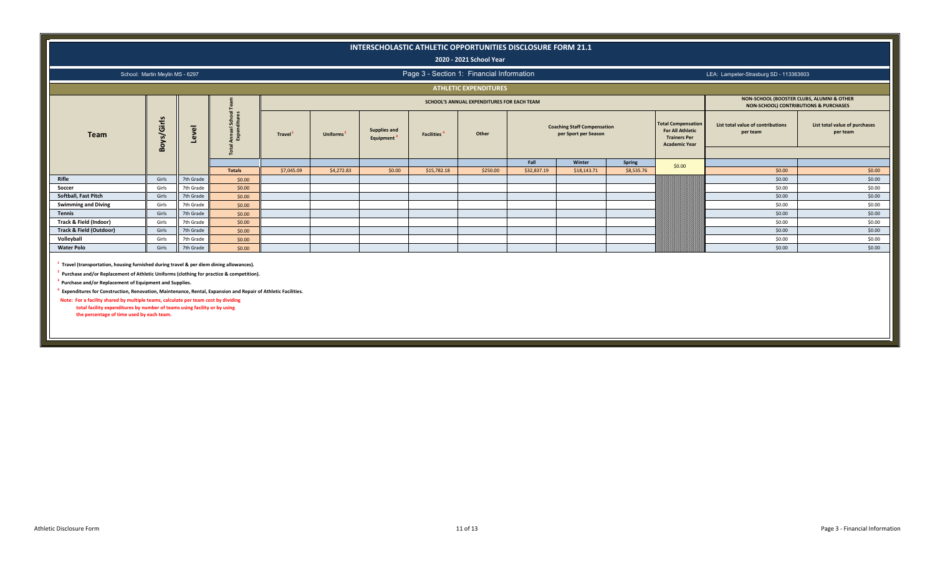|                            |                                 |           |                       |                                                                                               |                       | INTERSCHOLASTIC ATHLETIC OPPORTUNITIES DISCLOSURE FORM 21.1 | Page 3 - Section 1: Financial Information | 2020 - 2021 School Year      |             |                                                            |            |                                                                                                     |                                               |                                           |
|----------------------------|---------------------------------|-----------|-----------------------|-----------------------------------------------------------------------------------------------|-----------------------|-------------------------------------------------------------|-------------------------------------------|------------------------------|-------------|------------------------------------------------------------|------------|-----------------------------------------------------------------------------------------------------|-----------------------------------------------|-------------------------------------------|
|                            | School: Martin Meylin MS - 6297 |           |                       | LEA: Lampeter-Strasburg SD - 113363603                                                        |                       |                                                             |                                           |                              |             |                                                            |            |                                                                                                     |                                               |                                           |
|                            |                                 |           |                       |                                                                                               |                       |                                                             |                                           | <b>ATHLETIC EXPENDITURES</b> |             |                                                            |            |                                                                                                     |                                               |                                           |
|                            |                                 |           |                       | NON-SCHOOL (BOOSTER CLUBS, ALUMNI & OTHER<br><b>NON-SCHOOL) CONTRIBUTIONS &amp; PURCHASES</b> |                       |                                                             |                                           |                              |             |                                                            |            |                                                                                                     |                                               |                                           |
| <b>Team</b>                | Boys/Girls                      | Level     | il School<br>nditures | <b>Travel</b>                                                                                 | Uniforms <sup>2</sup> | <b>Supplies and</b><br>Equipment <sup>3</sup>               | <b>Facilities</b>                         | Other                        |             | <b>Coaching Staff Compensation</b><br>per Sport per Season |            | <b>Total Compensation</b><br><b>For All Athletic</b><br><b>Trainers Per</b><br><b>Academic Year</b> | List total value of contributions<br>per team | List total value of purchases<br>per team |
|                            |                                 |           |                       |                                                                                               |                       |                                                             |                                           |                              | Fall        | Winter                                                     | Spring     | \$0.00                                                                                              |                                               |                                           |
|                            |                                 |           | <b>Totals</b>         | \$7,045.09                                                                                    | \$4,272.83            | \$0.00                                                      | \$15,782.18                               | \$250.00                     | \$32,837.19 | \$18,143.71                                                | \$8,535.76 |                                                                                                     | \$0.00                                        | \$0.00                                    |
| Rifle                      | Girls                           | 7th Grade | \$0.00                |                                                                                               |                       |                                                             |                                           |                              |             |                                                            |            |                                                                                                     | \$0.00                                        | \$0.00                                    |
| Soccer                     | Girls                           | 7th Grade | \$0.00                |                                                                                               |                       |                                                             |                                           |                              |             |                                                            |            |                                                                                                     | \$0.00                                        | \$0.00                                    |
| Softball, Fast Pitch       | Girls                           | 7th Grade | \$0.00                |                                                                                               |                       |                                                             |                                           |                              |             |                                                            |            |                                                                                                     | \$0.00                                        | \$0.00                                    |
| <b>Swimming and Diving</b> | Girls                           | 7th Grade | \$0.00                |                                                                                               |                       |                                                             |                                           |                              |             |                                                            |            |                                                                                                     | \$0.00                                        | \$0.00                                    |
| <b>Tennis</b>              | Girls                           | 7th Grade | \$0.00                |                                                                                               |                       |                                                             |                                           |                              |             |                                                            |            |                                                                                                     | \$0.00                                        | \$0.00                                    |
| Track & Field (Indoor)     | Girls                           | 7th Grade | \$0.00                |                                                                                               |                       |                                                             |                                           |                              |             |                                                            |            |                                                                                                     | \$0.00                                        | \$0.00                                    |
| Track & Field (Outdoor)    | Girls                           | 7th Grade | \$0.00                |                                                                                               |                       |                                                             |                                           |                              |             |                                                            |            |                                                                                                     | \$0.00                                        | \$0.00                                    |
| Volleyball                 | Girls                           | 7th Grade | \$0.00                |                                                                                               |                       |                                                             |                                           |                              |             |                                                            |            |                                                                                                     | \$0.00                                        | \$0.00                                    |
| <b>Water Polo</b>          | Girls                           | 7th Grade | \$0.00                |                                                                                               |                       |                                                             |                                           |                              |             |                                                            |            |                                                                                                     | \$0.00                                        | \$0.00                                    |
|                            |                                 |           |                       |                                                                                               |                       |                                                             |                                           |                              |             |                                                            |            |                                                                                                     |                                               |                                           |

**1 Travel (transportation, housing furnished during travel & per diem dining allowances).**

**2 Purchase and/or Replacement of Athletic Uniforms (clothing for practice & competition).**

**3 Purchase and/or Replacement of Equipment and Supplies.**

**4 Expenditures for Construction, Renovation, Maintenance, Rental, Expansion and Repair of Athletic Facilities.**

 **Note: For a facility shared by multiple teams, calculate per team cost by dividing total facility expenditures by number of teams using facility or by using the percentage of time used by each team.**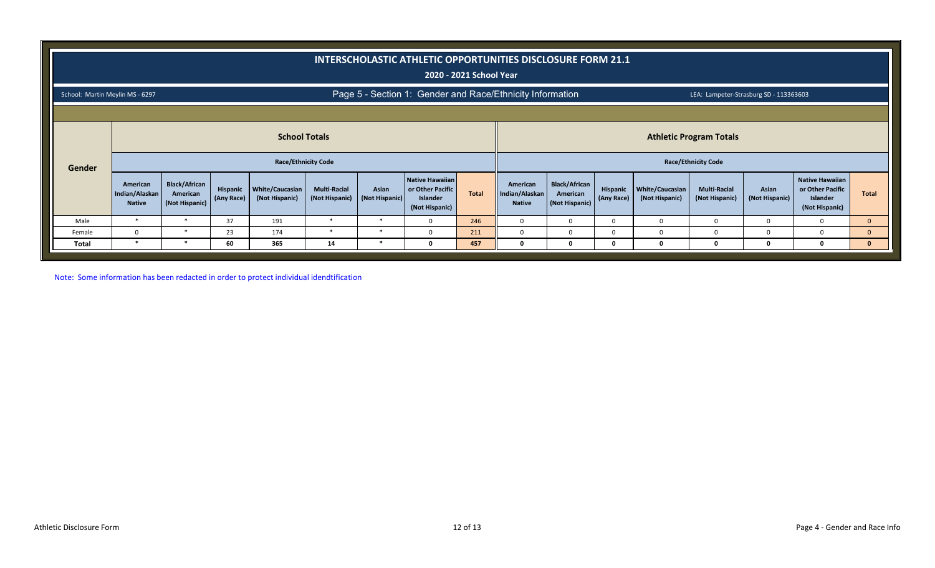|                                 |                                             |                                                                                                                    |                        |                                   |                                       |                         | INTERSCHOLASTIC ATHLETIC OPPORTUNITIES DISCLOSURE FORM 21.1       | 2020 - 2021 School Year |                                             |                                                    |                        |                                          |                                        |                         |                                                                                 |              |
|---------------------------------|---------------------------------------------|--------------------------------------------------------------------------------------------------------------------|------------------------|-----------------------------------|---------------------------------------|-------------------------|-------------------------------------------------------------------|-------------------------|---------------------------------------------|----------------------------------------------------|------------------------|------------------------------------------|----------------------------------------|-------------------------|---------------------------------------------------------------------------------|--------------|
| School: Martin Meylin MS - 6297 |                                             |                                                                                                                    |                        |                                   |                                       |                         | Page 5 - Section 1: Gender and Race/Ethnicity Information         |                         |                                             |                                                    |                        |                                          | LEA: Lampeter-Strasburg SD - 113363603 |                         |                                                                                 |              |
|                                 |                                             |                                                                                                                    |                        |                                   |                                       |                         |                                                                   |                         |                                             |                                                    |                        |                                          |                                        |                         |                                                                                 |              |
|                                 |                                             |                                                                                                                    |                        |                                   |                                       |                         |                                                                   |                         |                                             |                                                    |                        |                                          |                                        |                         |                                                                                 |              |
| Gender                          |                                             | <b>School Totals</b><br><b>Athletic Program Totals</b><br><b>Race/Ethnicity Code</b><br><b>Race/Ethnicity Code</b> |                        |                                   |                                       |                         |                                                                   |                         |                                             |                                                    |                        |                                          |                                        |                         |                                                                                 |              |
|                                 | American<br>Indian/Alaskan<br><b>Native</b> | <b>Black/African</b><br>American<br>(Not Hispanic)                                                                 | Hispanic<br>(Any Race) | White/Caucasian<br>(Not Hispanic) | <b>Multi-Racial</b><br>(Not Hispanic) | Asian<br>(Not Hispanic) | Native Hawaiian<br>or Other Pacific<br>Islander<br>(Not Hispanic) | Total                   | American<br>Indian/Alaskan<br><b>Native</b> | <b>Black/African</b><br>American<br>(Not Hispanic) | Hispanic<br>(Any Race) | <b>White/Caucasian</b><br>(Not Hispanic) | <b>Multi-Racial</b><br>(Not Hispanic)  | Asian<br>(Not Hispanic) | <b>Native Hawaiian</b><br>or Other Pacific<br><b>Islander</b><br>(Not Hispanic) | <b>Total</b> |
| Male                            | $\ast$                                      | $\ast$                                                                                                             | 37                     | 191                               | *                                     | ∗                       | <sup>0</sup>                                                      | 246                     | $\Omega$                                    | $\Omega$                                           | <sup>0</sup>           | $\Omega$                                 | U                                      |                         | $\Omega$                                                                        | $\mathbf{0}$ |
| Female                          | $\Omega$                                    | $\ast$                                                                                                             | 23                     | 174                               | $\ast$                                |                         |                                                                   | 211                     | O                                           | 0                                                  | 0                      | $\Omega$                                 |                                        |                         |                                                                                 | $\mathbf{0}$ |
| Total                           | $\ast$                                      | $\ast$                                                                                                             | 60                     | 365                               | 14                                    |                         |                                                                   | 457                     |                                             | $\Omega$                                           |                        | 0                                        |                                        |                         |                                                                                 | $\mathbf{0}$ |

Note: Some information has been redacted in order to protect individual idendtification